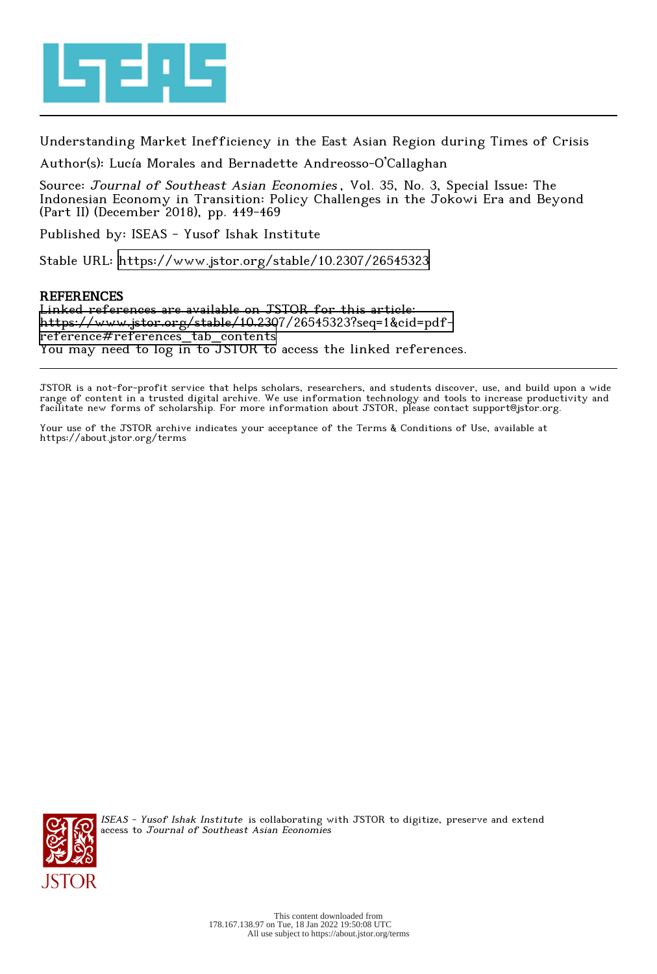

Understanding Market Inefficiency in the East Asian Region during Times of Crisis

Author(s): Lucía Morales and Bernadette Andreosso-O'Callaghan

Source: Journal of Southeast Asian Economies , Vol. 35, No. 3, Special Issue: The Indonesian Economy in Transition: Policy Challenges in the Jokowi Era and Beyond (Part II) (December 2018), pp. 449-469

Published by: ISEAS - Yusof Ishak Institute

Stable URL:<https://www.jstor.org/stable/10.2307/26545323>

# **REFERENCES**

Linked references are available on JSTOR for this article: [https://www.jstor.org/stable/10.2307/26545323?seq=1&cid=pdf](https://www.jstor.org/stable/10.2307/26545323?seq=1&cid=pdf-reference#references_tab_contents)[reference#references\\_tab\\_contents](https://www.jstor.org/stable/10.2307/26545323?seq=1&cid=pdf-reference#references_tab_contents) You may need to log in to JSTOR to access the linked references.

JSTOR is a not-for-profit service that helps scholars, researchers, and students discover, use, and build upon a wide range of content in a trusted digital archive. We use information technology and tools to increase productivity and facilitate new forms of scholarship. For more information about JSTOR, please contact support@jstor.org.

Your use of the JSTOR archive indicates your acceptance of the Terms & Conditions of Use, available at https://about.jstor.org/terms



ISEAS - Yusof Ishak Institute is collaborating with JSTOR to digitize, preserve and extend access to Journal of Southeast Asian Economies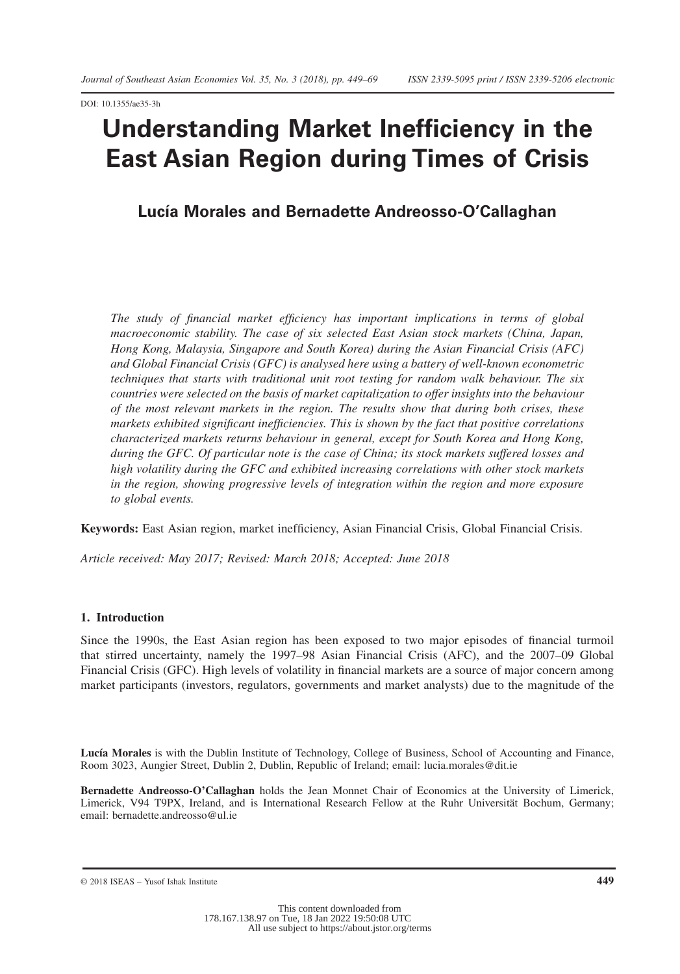DOI: 10.1355/ae35-3h

# **Understanding Market Inefficiency in the East Asian Region during Times of Crisis**

# **Lucía Morales and Bernadette Andreosso-O'Callaghan**

*The study of financial market efficiency has important implications in terms of global macroeconomic stability. The case of six selected East Asian stock markets (China, Japan, Hong Kong, Malaysia, Singapore and South Korea) during the Asian Financial Crisis (AFC) and Global Financial Crisis (GFC) is analysed here using a battery of well-known econometric techniques that starts with traditional unit root testing for random walk behaviour. The six countries were selected on the basis of market capitalization to offer insights into the behaviour of the most relevant markets in the region. The results show that during both crises, these markets exhibited significant inefficiencies. This is shown by the fact that positive correlations characterized markets returns behaviour in general, except for South Korea and Hong Kong, during the GFC. Of particular note is the case of China; its stock markets suffered losses and high volatility during the GFC and exhibited increasing correlations with other stock markets in the region, showing progressive levels of integration within the region and more exposure to global events.*

**Keywords:** East Asian region, market inefficiency, Asian Financial Crisis, Global Financial Crisis.

*Article received: May 2017; Revised: March 2018; Accepted: June 2018*

## **1. Introduction**

Since the 1990s, the East Asian region has been exposed to two major episodes of financial turmoil that stirred uncertainty, namely the 1997–98 Asian Financial Crisis (AFC), and the 2007–09 Global Financial Crisis (GFC). High levels of volatility in financial markets are a source of major concern among market participants (investors, regulators, governments and market analysts) due to the magnitude of the

**Lucía Morales** is with the Dublin Institute of Technology, College of Business, School of Accounting and Finance, Room 3023, Aungier Street, Dublin 2, Dublin, Republic of Ireland; email: lucia.morales@dit.ie

**Bernadette Andreosso-O'Callaghan** holds the Jean Monnet Chair of Economics at the University of Limerick, Limerick, V94 T9PX, Ireland, and is International Research Fellow at the Ruhr Universität Bochum, Germany; email: bernadette.andreosso@ul.ie

© 2018 ISEAS – Yusof Ishak Institute **449**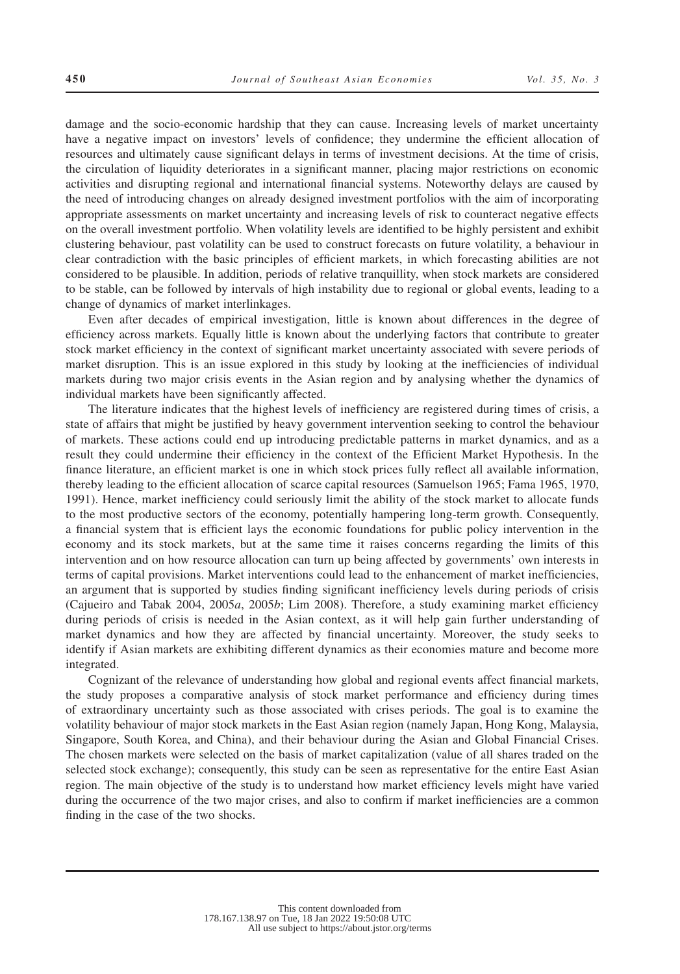damage and the socio-economic hardship that they can cause. Increasing levels of market uncertainty have a negative impact on investors' levels of confidence; they undermine the efficient allocation of resources and ultimately cause significant delays in terms of investment decisions. At the time of crisis, the circulation of liquidity deteriorates in a significant manner, placing major restrictions on economic activities and disrupting regional and international financial systems. Noteworthy delays are caused by the need of introducing changes on already designed investment portfolios with the aim of incorporating appropriate assessments on market uncertainty and increasing levels of risk to counteract negative effects on the overall investment portfolio. When volatility levels are identified to be highly persistent and exhibit clustering behaviour, past volatility can be used to construct forecasts on future volatility, a behaviour in clear contradiction with the basic principles of efficient markets, in which forecasting abilities are not considered to be plausible. In addition, periods of relative tranquillity, when stock markets are considered to be stable, can be followed by intervals of high instability due to regional or global events, leading to a change of dynamics of market interlinkages.

Even after decades of empirical investigation, little is known about differences in the degree of efficiency across markets. Equally little is known about the underlying factors that contribute to greater stock market efficiency in the context of significant market uncertainty associated with severe periods of market disruption. This is an issue explored in this study by looking at the inefficiencies of individual markets during two major crisis events in the Asian region and by analysing whether the dynamics of individual markets have been significantly affected.

The literature indicates that the highest levels of inefficiency are registered during times of crisis, a state of affairs that might be justified by heavy government intervention seeking to control the behaviour of markets. These actions could end up introducing predictable patterns in market dynamics, and as a result they could undermine their efficiency in the context of the Efficient Market Hypothesis. In the finance literature, an efficient market is one in which stock prices fully reflect all available information, thereby leading to the efficient allocation of scarce capital resources (Samuelson 1965; Fama 1965, 1970, 1991). Hence, market inefficiency could seriously limit the ability of the stock market to allocate funds to the most productive sectors of the economy, potentially hampering long-term growth. Consequently, a financial system that is efficient lays the economic foundations for public policy intervention in the economy and its stock markets, but at the same time it raises concerns regarding the limits of this intervention and on how resource allocation can turn up being affected by governments' own interests in terms of capital provisions. Market interventions could lead to the enhancement of market inefficiencies, an argument that is supported by studies finding significant inefficiency levels during periods of crisis (Cajueiro and Tabak 2004, 2005*a*, 2005*b*; Lim 2008). Therefore, a study examining market efficiency during periods of crisis is needed in the Asian context, as it will help gain further understanding of market dynamics and how they are affected by financial uncertainty. Moreover, the study seeks to identify if Asian markets are exhibiting different dynamics as their economies mature and become more integrated.

Cognizant of the relevance of understanding how global and regional events affect financial markets, the study proposes a comparative analysis of stock market performance and efficiency during times of extraordinary uncertainty such as those associated with crises periods. The goal is to examine the volatility behaviour of major stock markets in the East Asian region (namely Japan, Hong Kong, Malaysia, Singapore, South Korea, and China), and their behaviour during the Asian and Global Financial Crises. The chosen markets were selected on the basis of market capitalization (value of all shares traded on the selected stock exchange); consequently, this study can be seen as representative for the entire East Asian region. The main objective of the study is to understand how market efficiency levels might have varied during the occurrence of the two major crises, and also to confirm if market inefficiencies are a common finding in the case of the two shocks.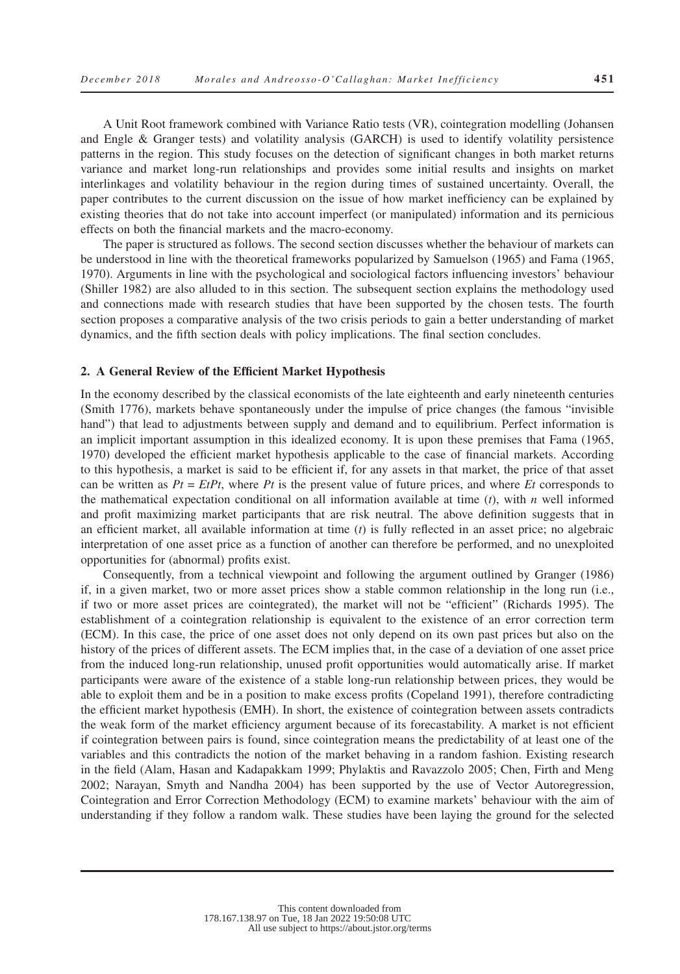A Unit Root framework combined with Variance Ratio tests (VR), cointegration modelling (Johansen and Engle & Granger tests) and volatility analysis (GARCH) is used to identify volatility persistence patterns in the region. This study focuses on the detection of significant changes in both market returns variance and market long-run relationships and provides some initial results and insights on market interlinkages and volatility behaviour in the region during times of sustained uncertainty. Overall, the paper contributes to the current discussion on the issue of how market inefficiency can be explained by existing theories that do not take into account imperfect (or manipulated) information and its pernicious effects on both the financial markets and the macro-economy.

The paper is structured as follows. The second section discusses whether the behaviour of markets can be understood in line with the theoretical frameworks popularized by Samuelson (1965) and Fama (1965, 1970). Arguments in line with the psychological and sociological factors influencing investors' behaviour (Shiller 1982) are also alluded to in this section. The subsequent section explains the methodology used and connections made with research studies that have been supported by the chosen tests. The fourth section proposes a comparative analysis of the two crisis periods to gain a better understanding of market dynamics, and the fifth section deals with policy implications. The final section concludes.

## **2. A General Review of the Efficient Market Hypothesis**

In the economy described by the classical economists of the late eighteenth and early nineteenth centuries (Smith 1776), markets behave spontaneously under the impulse of price changes (the famous "invisible hand") that lead to adjustments between supply and demand and to equilibrium. Perfect information is an implicit important assumption in this idealized economy. It is upon these premises that Fama (1965, 1970) developed the efficient market hypothesis applicable to the case of financial markets. According to this hypothesis, a market is said to be efficient if, for any assets in that market, the price of that asset can be written as  $Pt = EtPt$ , where  $Pt$  is the present value of future prices, and where  $Et$  corresponds to the mathematical expectation conditional on all information available at time (*t*), with *n* well informed and profit maximizing market participants that are risk neutral. The above definition suggests that in an efficient market, all available information at time (*t*) is fully reflected in an asset price; no algebraic interpretation of one asset price as a function of another can therefore be performed, and no unexploited opportunities for (abnormal) profits exist.

Consequently, from a technical viewpoint and following the argument outlined by Granger (1986) if, in a given market, two or more asset prices show a stable common relationship in the long run (i.e., if two or more asset prices are cointegrated), the market will not be "efficient" (Richards 1995). The establishment of a cointegration relationship is equivalent to the existence of an error correction term (ECM). In this case, the price of one asset does not only depend on its own past prices but also on the history of the prices of different assets. The ECM implies that, in the case of a deviation of one asset price from the induced long-run relationship, unused profit opportunities would automatically arise. If market participants were aware of the existence of a stable long-run relationship between prices, they would be able to exploit them and be in a position to make excess profits (Copeland 1991), therefore contradicting the efficient market hypothesis (EMH). In short, the existence of cointegration between assets contradicts the weak form of the market efficiency argument because of its forecastability. A market is not efficient if cointegration between pairs is found, since cointegration means the predictability of at least one of the variables and this contradicts the notion of the market behaving in a random fashion. Existing research in the field (Alam, Hasan and Kadapakkam 1999; Phylaktis and Ravazzolo 2005; Chen, Firth and Meng 2002; Narayan, Smyth and Nandha 2004) has been supported by the use of Vector Autoregression, Cointegration and Error Correction Methodology (ECM) to examine markets' behaviour with the aim of understanding if they follow a random walk. These studies have been laying the ground for the selected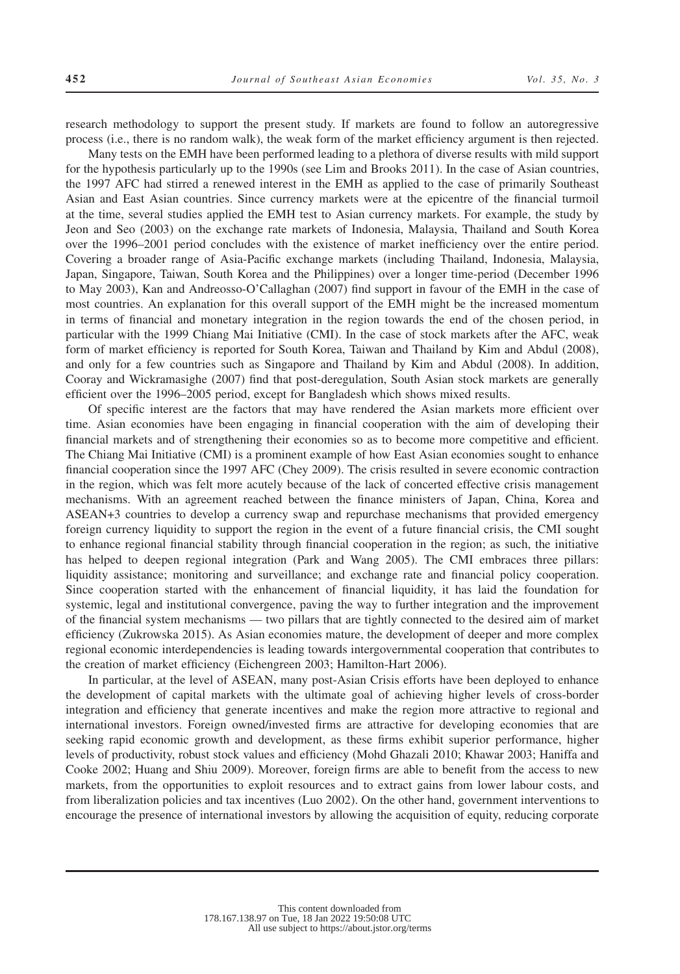research methodology to support the present study. If markets are found to follow an autoregressive process (i.e., there is no random walk), the weak form of the market efficiency argument is then rejected.

Many tests on the EMH have been performed leading to a plethora of diverse results with mild support for the hypothesis particularly up to the 1990s (see Lim and Brooks 2011). In the case of Asian countries, the 1997 AFC had stirred a renewed interest in the EMH as applied to the case of primarily Southeast Asian and East Asian countries. Since currency markets were at the epicentre of the financial turmoil at the time, several studies applied the EMH test to Asian currency markets. For example, the study by Jeon and Seo (2003) on the exchange rate markets of Indonesia, Malaysia, Thailand and South Korea over the 1996–2001 period concludes with the existence of market inefficiency over the entire period. Covering a broader range of Asia-Pacific exchange markets (including Thailand, Indonesia, Malaysia, Japan, Singapore, Taiwan, South Korea and the Philippines) over a longer time-period (December 1996 to May 2003), Kan and Andreosso-O'Callaghan (2007) find support in favour of the EMH in the case of most countries. An explanation for this overall support of the EMH might be the increased momentum in terms of financial and monetary integration in the region towards the end of the chosen period, in particular with the 1999 Chiang Mai Initiative (CMI). In the case of stock markets after the AFC, weak form of market efficiency is reported for South Korea, Taiwan and Thailand by Kim and Abdul (2008), and only for a few countries such as Singapore and Thailand by Kim and Abdul (2008). In addition, Cooray and Wickramasighe (2007) find that post-deregulation, South Asian stock markets are generally efficient over the 1996–2005 period, except for Bangladesh which shows mixed results.

Of specific interest are the factors that may have rendered the Asian markets more efficient over time. Asian economies have been engaging in financial cooperation with the aim of developing their financial markets and of strengthening their economies so as to become more competitive and efficient. The Chiang Mai Initiative (CMI) is a prominent example of how East Asian economies sought to enhance financial cooperation since the 1997 AFC (Chey 2009). The crisis resulted in severe economic contraction in the region, which was felt more acutely because of the lack of concerted effective crisis management mechanisms. With an agreement reached between the finance ministers of Japan, China, Korea and ASEAN+3 countries to develop a currency swap and repurchase mechanisms that provided emergency foreign currency liquidity to support the region in the event of a future financial crisis, the CMI sought to enhance regional financial stability through financial cooperation in the region; as such, the initiative has helped to deepen regional integration (Park and Wang 2005). The CMI embraces three pillars: liquidity assistance; monitoring and surveillance; and exchange rate and financial policy cooperation. Since cooperation started with the enhancement of financial liquidity, it has laid the foundation for systemic, legal and institutional convergence, paving the way to further integration and the improvement of the financial system mechanisms — two pillars that are tightly connected to the desired aim of market efficiency (Zukrowska 2015). As Asian economies mature, the development of deeper and more complex regional economic interdependencies is leading towards intergovernmental cooperation that contributes to the creation of market efficiency (Eichengreen 2003; Hamilton-Hart 2006).

In particular, at the level of ASEAN, many post-Asian Crisis efforts have been deployed to enhance the development of capital markets with the ultimate goal of achieving higher levels of cross-border integration and efficiency that generate incentives and make the region more attractive to regional and international investors. Foreign owned/invested firms are attractive for developing economies that are seeking rapid economic growth and development, as these firms exhibit superior performance, higher levels of productivity, robust stock values and efficiency (Mohd Ghazali 2010; Khawar 2003; Haniffa and Cooke 2002; Huang and Shiu 2009). Moreover, foreign firms are able to benefit from the access to new markets, from the opportunities to exploit resources and to extract gains from lower labour costs, and from liberalization policies and tax incentives (Luo 2002). On the other hand, government interventions to encourage the presence of international investors by allowing the acquisition of equity, reducing corporate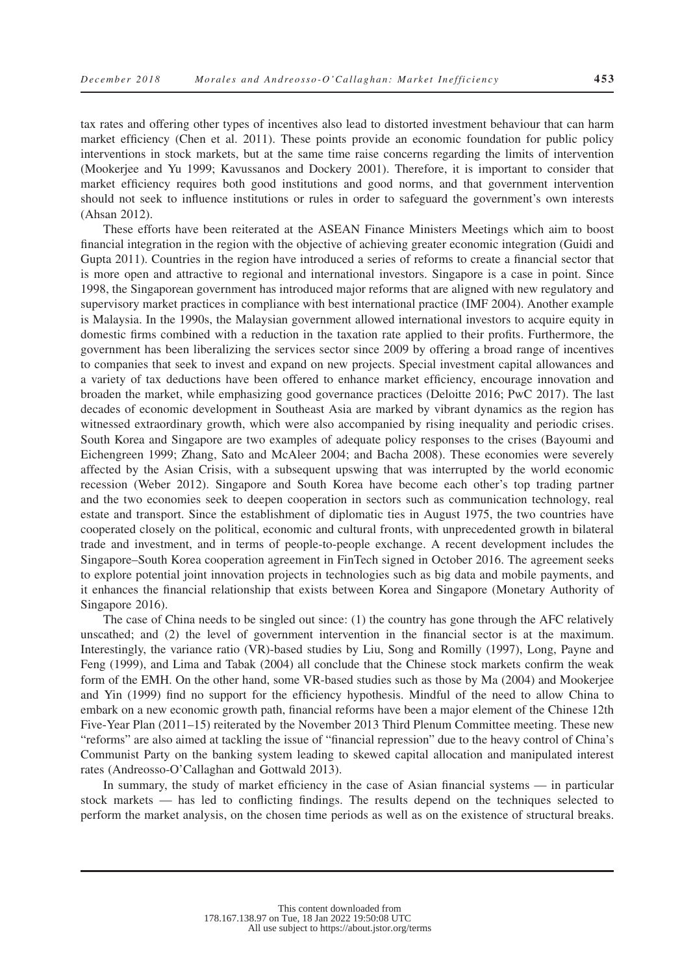tax rates and offering other types of incentives also lead to distorted investment behaviour that can harm market efficiency (Chen et al. 2011). These points provide an economic foundation for public policy interventions in stock markets, but at the same time raise concerns regarding the limits of intervention (Mookerjee and Yu 1999; Kavussanos and Dockery 2001). Therefore, it is important to consider that market efficiency requires both good institutions and good norms, and that government intervention should not seek to influence institutions or rules in order to safeguard the government's own interests (Ahsan 2012).

These efforts have been reiterated at the ASEAN Finance Ministers Meetings which aim to boost financial integration in the region with the objective of achieving greater economic integration (Guidi and Gupta 2011). Countries in the region have introduced a series of reforms to create a financial sector that is more open and attractive to regional and international investors. Singapore is a case in point. Since 1998, the Singaporean government has introduced major reforms that are aligned with new regulatory and supervisory market practices in compliance with best international practice (IMF 2004). Another example is Malaysia. In the 1990s, the Malaysian government allowed international investors to acquire equity in domestic firms combined with a reduction in the taxation rate applied to their profits. Furthermore, the government has been liberalizing the services sector since 2009 by offering a broad range of incentives to companies that seek to invest and expand on new projects. Special investment capital allowances and a variety of tax deductions have been offered to enhance market efficiency, encourage innovation and broaden the market, while emphasizing good governance practices (Deloitte 2016; PwC 2017). The last decades of economic development in Southeast Asia are marked by vibrant dynamics as the region has witnessed extraordinary growth, which were also accompanied by rising inequality and periodic crises. South Korea and Singapore are two examples of adequate policy responses to the crises (Bayoumi and Eichengreen 1999; Zhang, Sato and McAleer 2004; and Bacha 2008). These economies were severely affected by the Asian Crisis, with a subsequent upswing that was interrupted by the world economic recession (Weber 2012). Singapore and South Korea have become each other's top trading partner and the two economies seek to deepen cooperation in sectors such as communication technology, real estate and transport. Since the establishment of diplomatic ties in August 1975, the two countries have cooperated closely on the political, economic and cultural fronts, with unprecedented growth in bilateral trade and investment, and in terms of people-to-people exchange. A recent development includes the Singapore–South Korea cooperation agreement in FinTech signed in October 2016. The agreement seeks to explore potential joint innovation projects in technologies such as big data and mobile payments, and it enhances the financial relationship that exists between Korea and Singapore (Monetary Authority of Singapore 2016).

The case of China needs to be singled out since: (1) the country has gone through the AFC relatively unscathed; and (2) the level of government intervention in the financial sector is at the maximum. Interestingly, the variance ratio (VR)-based studies by Liu, Song and Romilly (1997), Long, Payne and Feng (1999), and Lima and Tabak (2004) all conclude that the Chinese stock markets confirm the weak form of the EMH. On the other hand, some VR-based studies such as those by Ma (2004) and Mookerjee and Yin (1999) find no support for the efficiency hypothesis. Mindful of the need to allow China to embark on a new economic growth path, financial reforms have been a major element of the Chinese 12th Five-Year Plan (2011–15) reiterated by the November 2013 Third Plenum Committee meeting. These new "reforms" are also aimed at tackling the issue of "financial repression" due to the heavy control of China's Communist Party on the banking system leading to skewed capital allocation and manipulated interest rates (Andreosso-O'Callaghan and Gottwald 2013).

In summary, the study of market efficiency in the case of Asian financial systems — in particular stock markets — has led to conflicting findings. The results depend on the techniques selected to perform the market analysis, on the chosen time periods as well as on the existence of structural breaks.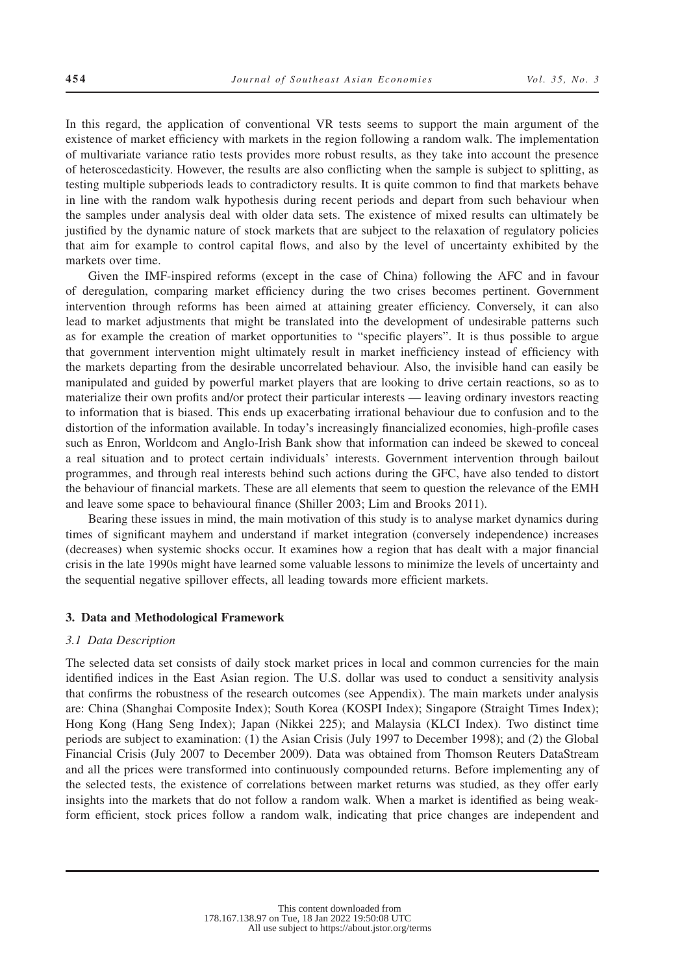In this regard, the application of conventional VR tests seems to support the main argument of the existence of market efficiency with markets in the region following a random walk. The implementation of multivariate variance ratio tests provides more robust results, as they take into account the presence of heteroscedasticity. However, the results are also conflicting when the sample is subject to splitting, as testing multiple subperiods leads to contradictory results. It is quite common to find that markets behave in line with the random walk hypothesis during recent periods and depart from such behaviour when the samples under analysis deal with older data sets. The existence of mixed results can ultimately be justified by the dynamic nature of stock markets that are subject to the relaxation of regulatory policies that aim for example to control capital flows, and also by the level of uncertainty exhibited by the markets over time.

Given the IMF-inspired reforms (except in the case of China) following the AFC and in favour of deregulation, comparing market efficiency during the two crises becomes pertinent. Government intervention through reforms has been aimed at attaining greater efficiency. Conversely, it can also lead to market adjustments that might be translated into the development of undesirable patterns such as for example the creation of market opportunities to "specific players". It is thus possible to argue that government intervention might ultimately result in market inefficiency instead of efficiency with the markets departing from the desirable uncorrelated behaviour. Also, the invisible hand can easily be manipulated and guided by powerful market players that are looking to drive certain reactions, so as to materialize their own profits and/or protect their particular interests — leaving ordinary investors reacting to information that is biased. This ends up exacerbating irrational behaviour due to confusion and to the distortion of the information available. In today's increasingly financialized economies, high-profile cases such as Enron, Worldcom and Anglo-Irish Bank show that information can indeed be skewed to conceal a real situation and to protect certain individuals' interests. Government intervention through bailout programmes, and through real interests behind such actions during the GFC, have also tended to distort the behaviour of financial markets. These are all elements that seem to question the relevance of the EMH and leave some space to behavioural finance (Shiller 2003; Lim and Brooks 2011).

Bearing these issues in mind, the main motivation of this study is to analyse market dynamics during times of significant mayhem and understand if market integration (conversely independence) increases (decreases) when systemic shocks occur. It examines how a region that has dealt with a major financial crisis in the late 1990s might have learned some valuable lessons to minimize the levels of uncertainty and the sequential negative spillover effects, all leading towards more efficient markets.

#### **3. Data and Methodological Framework**

#### *3.1 Data Description*

The selected data set consists of daily stock market prices in local and common currencies for the main identified indices in the East Asian region. The U.S. dollar was used to conduct a sensitivity analysis that confirms the robustness of the research outcomes (see Appendix). The main markets under analysis are: China (Shanghai Composite Index); South Korea (KOSPI Index); Singapore (Straight Times Index); Hong Kong (Hang Seng Index); Japan (Nikkei 225); and Malaysia (KLCI Index). Two distinct time periods are subject to examination: (1) the Asian Crisis (July 1997 to December 1998); and (2) the Global Financial Crisis (July 2007 to December 2009). Data was obtained from Thomson Reuters DataStream and all the prices were transformed into continuously compounded returns. Before implementing any of the selected tests, the existence of correlations between market returns was studied, as they offer early insights into the markets that do not follow a random walk. When a market is identified as being weakform efficient, stock prices follow a random walk, indicating that price changes are independent and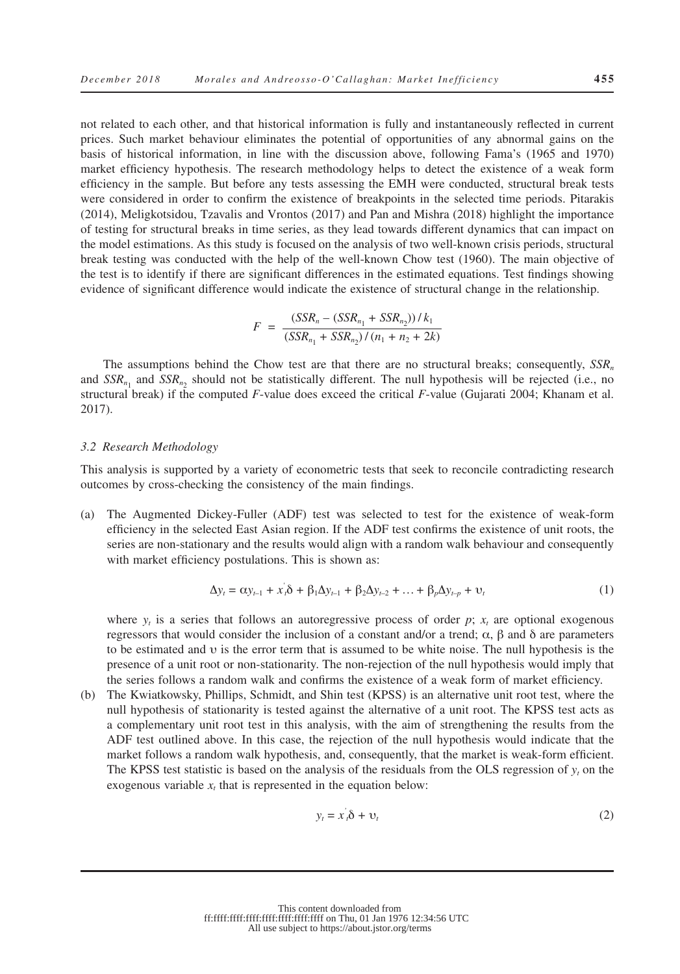not related to each other, and that historical information is fully and instantaneously reflected in current prices. Such market behaviour eliminates the potential of opportunities of any abnormal gains on the basis of historical information, in line with the discussion above, following Fama's (1965 and 1970) market efficiency hypothesis. The research methodology helps to detect the existence of a weak form efficiency in the sample. But before any tests assessing the EMH were conducted, structural break tests were considered in order to confirm the existence of breakpoints in the selected time periods. Pitarakis (2014), Meligkotsidou, Tzavalis and Vrontos (2017) and Pan and Mishra (2018) highlight the importance of testing for structural breaks in time series, as they lead towards different dynamics that can impact on the model estimations. As this study is focused on the analysis of two well-known crisis periods, structural break testing was conducted with the help of the well-known Chow test (1960). The main objective of the test is to identify if there are significant differences in the estimated equations. Test findings showing evidence of significant difference would indicate the existence of structural change in the relationship.

$$
F = \frac{(SSR_n - (SSR_{n_1} + SSR_{n_2}))/k_1}{(SSR_{n_1} + SSR_{n_2})/(n_1 + n_2 + 2k)}
$$

The assumptions behind the Chow test are that there are no structural breaks; consequently, *SSRn* and  $SSR_{n_1}$  and  $SSR_{n_2}$  should not be statistically different. The null hypothesis will be rejected (i.e., no structural break) if the computed *F*-value does exceed the critical *F*-value (Gujarati 2004; Khanam et al. 2017).

#### *3.2 Research Methodology*

This analysis is supported by a variety of econometric tests that seek to reconcile contradicting research outcomes by cross-checking the consistency of the main findings.

(a) The Augmented Dickey-Fuller (ADF) test was selected to test for the existence of weak-form efficiency in the selected East Asian region. If the ADF test confirms the existence of unit roots, the series are non-stationary and the results would align with a random walk behaviour and consequently with market efficiency postulations. This is shown as:

$$
\Delta y_t = \alpha y_{t-1} + x_t \delta + \beta_1 \Delta y_{t-1} + \beta_2 \Delta y_{t-2} + \dots + \beta_p \Delta y_{t-p} + \upsilon_t
$$
\n(1)

where  $y_t$  is a series that follows an autoregressive process of order *p*;  $x_t$  are optional exogenous regressors that would consider the inclusion of a constant and/or a trend;  $\alpha$ , β and δ are parameters to be estimated and υ is the error term that is assumed to be white noise. The null hypothesis is the presence of a unit root or non-stationarity. The non-rejection of the null hypothesis would imply that the series follows a random walk and confirms the existence of a weak form of market efficiency.

(b) The Kwiatkowsky, Phillips, Schmidt, and Shin test (KPSS) is an alternative unit root test, where the null hypothesis of stationarity is tested against the alternative of a unit root. The KPSS test acts as a complementary unit root test in this analysis, with the aim of strengthening the results from the ADF test outlined above. In this case, the rejection of the null hypothesis would indicate that the market follows a random walk hypothesis, and, consequently, that the market is weak-form efficient. The KPSS test statistic is based on the analysis of the residuals from the OLS regression of *yt* on the exogenous variable  $x_t$  that is represented in the equation below:

$$
y_t = x_t \delta + v_t \tag{2}
$$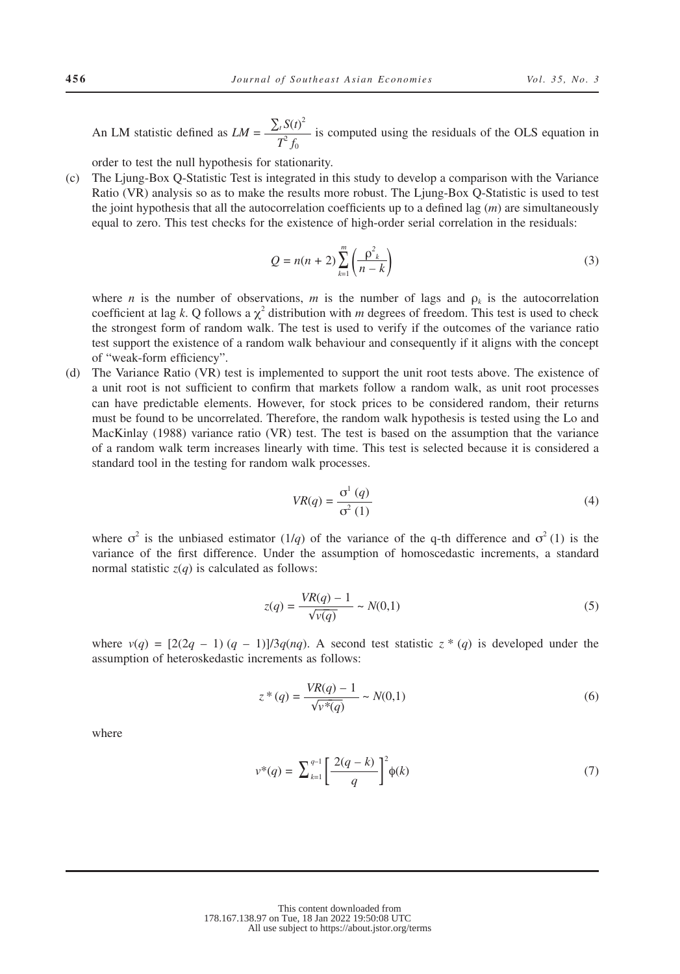An LM statistic defined as  $LM = \frac{\sum_i S(t)^2}{\sigma^2}$  $T^2 f_0$  is computed using the residuals of the OLS equation in

order to test the null hypothesis for stationarity.

(c) The Ljung-Box Q-Statistic Test is integrated in this study to develop a comparison with the Variance Ratio (VR) analysis so as to make the results more robust. The Ljung-Box Q-Statistic is used to test the joint hypothesis that all the autocorrelation coefficients up to a defined lag (*m*) are simultaneously equal to zero. This test checks for the existence of high-order serial correlation in the residuals:

$$
Q = n(n+2) \sum_{k=1}^{m} \left( \frac{\rho^2_k}{n-k} \right)
$$
 (3)

where *n* is the number of observations, *m* is the number of lags and  $\rho_k$  is the autocorrelation coefficient at lag *k*. Q follows a  $\chi^2$  distribution with *m* degrees of freedom. This test is used to check the strongest form of random walk. The test is used to verify if the outcomes of the variance ratio test support the existence of a random walk behaviour and consequently if it aligns with the concept of "weak-form efficiency".

(d) The Variance Ratio (VR) test is implemented to support the unit root tests above. The existence of a unit root is not sufficient to confirm that markets follow a random walk, as unit root processes can have predictable elements. However, for stock prices to be considered random, their returns must be found to be uncorrelated. Therefore, the random walk hypothesis is tested using the Lo and MacKinlay (1988) variance ratio (VR) test. The test is based on the assumption that the variance of a random walk term increases linearly with time. This test is selected because it is considered a standard tool in the testing for random walk processes.

$$
VR(q) = \frac{\sigma^1(q)}{\sigma^2(1)}\tag{4}
$$

where  $\sigma^2$  is the unbiased estimator (1/*q*) of the variance of the q-th difference and  $\sigma^2$  (1) is the variance of the first difference. Under the assumption of homoscedastic increments, a standard normal statistic  $z(q)$  is calculated as follows:

$$
z(q) = \frac{VR(q) - 1}{\sqrt{v(q)}} \sim N(0, 1)
$$
\n(5)

where  $v(q) = [2(2q - 1)(q - 1)]/3q(nq)$ . A second test statistic  $z * (q)$  is developed under the assumption of heteroskedastic increments as follows:

$$
z^*(q) = \frac{VR(q) - 1}{\sqrt{v^*(q)}} \sim N(0,1)
$$
\n(6)

where

$$
\nu^*(q) = \sum_{k=1}^{q-1} \left[ \frac{2(q-k)}{q} \right]^2 \phi(k) \tag{7}
$$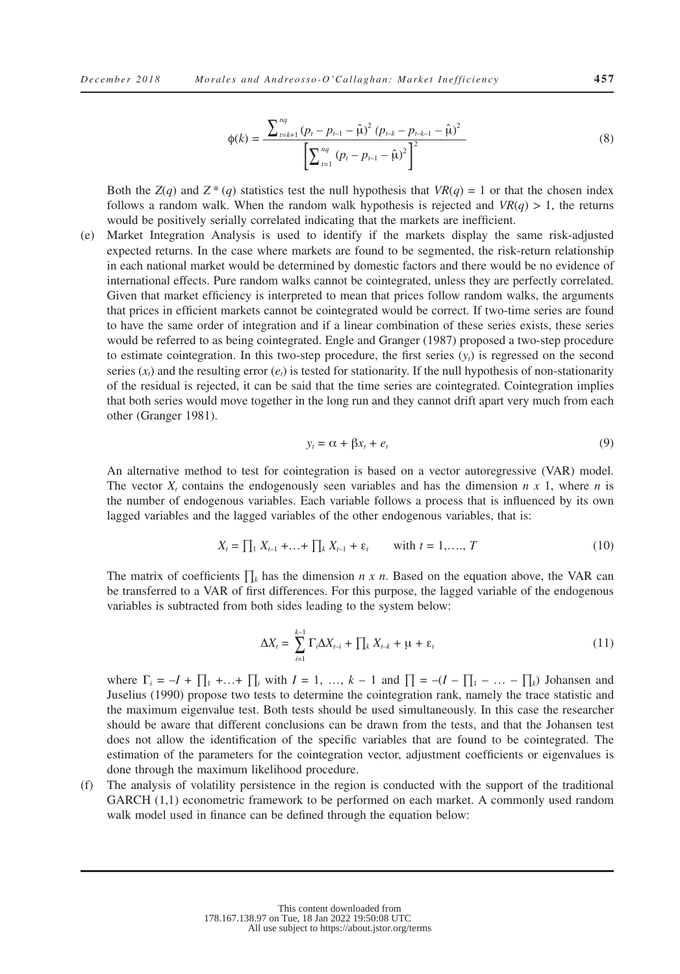$$
\phi(k) = \frac{\sum_{t=k+1}^{nq} (p_t - p_{t-1} - \hat{\mu})^2 (p_{t-k} - p_{t-k-1} - \hat{\mu})^2}{\left[\sum_{t=1}^{nq} (p_t - p_{t-1} - \hat{\mu})^2\right]^2}
$$
(8)

Both the *Z*(*q*) and *Z* \* (*q*) statistics test the null hypothesis that *VR*(*q*) = 1 or that the chosen index follows a random walk. When the random walk hypothesis is rejected and  $VR(q) > 1$ , the returns would be positively serially correlated indicating that the markets are inefficient.

(e) Market Integration Analysis is used to identify if the markets display the same risk-adjusted expected returns. In the case where markets are found to be segmented, the risk-return relationship in each national market would be determined by domestic factors and there would be no evidence of international effects. Pure random walks cannot be cointegrated, unless they are perfectly correlated. Given that market efficiency is interpreted to mean that prices follow random walks, the arguments that prices in efficient markets cannot be cointegrated would be correct. If two-time series are found to have the same order of integration and if a linear combination of these series exists, these series would be referred to as being cointegrated. Engle and Granger (1987) proposed a two-step procedure to estimate cointegration. In this two-step procedure, the first series (*yt*) is regressed on the second series  $(x_t)$  and the resulting error  $(e_t)$  is tested for stationarity. If the null hypothesis of non-stationarity of the residual is rejected, it can be said that the time series are cointegrated. Cointegration implies that both series would move together in the long run and they cannot drift apart very much from each other (Granger 1981).

$$
y_t = \alpha + \beta x_t + e_t \tag{9}
$$

An alternative method to test for cointegration is based on a vector autoregressive (VAR) model. The vector  $X_t$  contains the endogenously seen variables and has the dimension  $n \times 1$ , where  $n$  is the number of endogenous variables. Each variable follows a process that is influenced by its own lagged variables and the lagged variables of the other endogenous variables, that is:

$$
X_t = \prod_1 X_{t-1} + \ldots + \prod_k X_{t-1} + \varepsilon_t \qquad \text{with } t = 1, \ldots, T
$$
 (10)

The matrix of coefficients ∏*k* has the dimension *n x n*. Based on the equation above, the VAR can be transferred to a VAR of first differences. For this purpose, the lagged variable of the endogenous variables is subtracted from both sides leading to the system below:

$$
\Delta X_t = \sum_{i=1}^{k-1} \Gamma_i \Delta X_{t-i} + \prod_k X_{t-k} + \mu + \varepsilon_t \tag{11}
$$

where  $\Gamma_i = -I + \prod_1 + ... + \prod_i$  with  $I = 1, ..., k - 1$  and  $\prod_i = -(I - \prod_1 - ... - \prod_k)$  Johansen and Juselius (1990) propose two tests to determine the cointegration rank, namely the trace statistic and the maximum eigenvalue test. Both tests should be used simultaneously. In this case the researcher should be aware that different conclusions can be drawn from the tests, and that the Johansen test does not allow the identification of the specific variables that are found to be cointegrated. The estimation of the parameters for the cointegration vector, adjustment coefficients or eigenvalues is done through the maximum likelihood procedure.

(f) The analysis of volatility persistence in the region is conducted with the support of the traditional GARCH  $(1,1)$  econometric framework to be performed on each market. A commonly used random walk model used in finance can be defined through the equation below: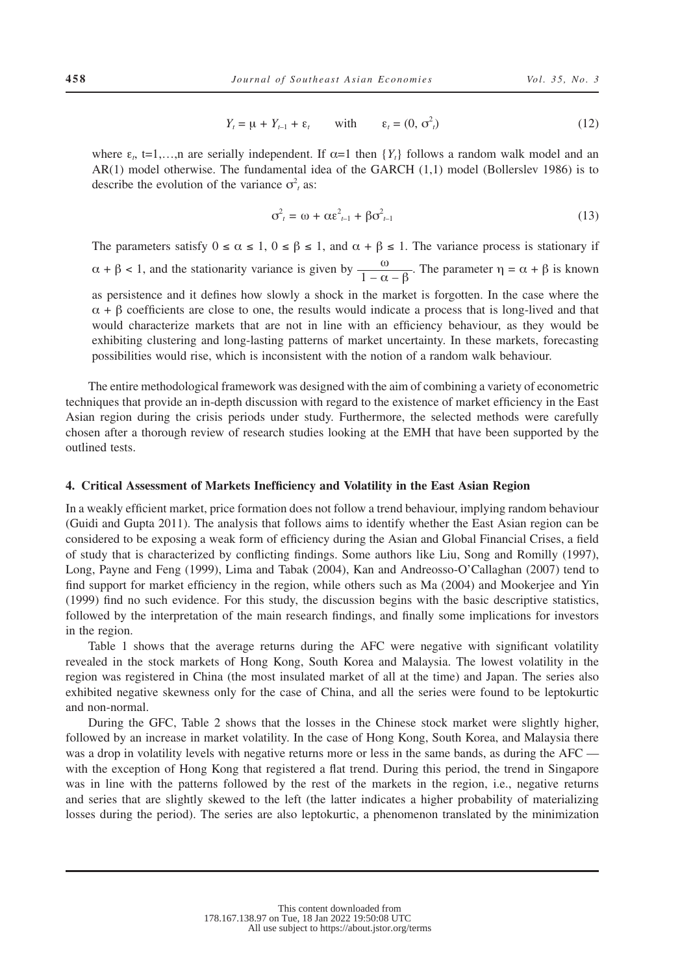$$
Y_t = \mu + Y_{t-1} + \varepsilon_t \qquad \text{with} \qquad \varepsilon_t = (0, \sigma_t^2) \tag{12}
$$

where  $\varepsilon_t$ ,  $t=1,...,n$  are serially independent. If  $\alpha=1$  then  $\{Y_t\}$  follows a random walk model and an AR(1) model otherwise. The fundamental idea of the GARCH (1,1) model (Bollerslev 1986) is to describe the evolution of the variance  $\sigma^2$ <sub>*t*</sub> as:

$$
\sigma_t^2 = \omega + \alpha \varepsilon_{t-1}^2 + \beta \sigma_{t-1}^2 \tag{13}
$$

The parameters satisfy  $0 \le \alpha \le 1$ ,  $0 \le \beta \le 1$ , and  $\alpha + \beta \le 1$ . The variance process is stationary if  $\alpha + \beta < 1$ , and the stationarity variance is given by  $\frac{\omega}{1 - \alpha - \beta}$ . The parameter  $\eta = \alpha + \beta$  is known as persistence and it defines how slowly a shock in the market is forgotten. In the case where the  $\alpha$  +  $\beta$  coefficients are close to one, the results would indicate a process that is long-lived and that would characterize markets that are not in line with an efficiency behaviour, as they would be exhibiting clustering and long-lasting patterns of market uncertainty. In these markets, forecasting possibilities would rise, which is inconsistent with the notion of a random walk behaviour.

The entire methodological framework was designed with the aim of combining a variety of econometric techniques that provide an in-depth discussion with regard to the existence of market efficiency in the East Asian region during the crisis periods under study. Furthermore, the selected methods were carefully chosen after a thorough review of research studies looking at the EMH that have been supported by the outlined tests.

#### **4. Critical Assessment of Markets Inefficiency and Volatility in the East Asian Region**

In a weakly efficient market, price formation does not follow a trend behaviour, implying random behaviour (Guidi and Gupta 2011). The analysis that follows aims to identify whether the East Asian region can be considered to be exposing a weak form of efficiency during the Asian and Global Financial Crises, a field of study that is characterized by conflicting findings. Some authors like Liu, Song and Romilly (1997), Long, Payne and Feng (1999), Lima and Tabak (2004), Kan and Andreosso-O'Callaghan (2007) tend to find support for market efficiency in the region, while others such as Ma (2004) and Mookerjee and Yin (1999) find no such evidence. For this study, the discussion begins with the basic descriptive statistics, followed by the interpretation of the main research findings, and finally some implications for investors in the region.

Table 1 shows that the average returns during the AFC were negative with significant volatility revealed in the stock markets of Hong Kong, South Korea and Malaysia. The lowest volatility in the region was registered in China (the most insulated market of all at the time) and Japan. The series also exhibited negative skewness only for the case of China, and all the series were found to be leptokurtic and non-normal.

During the GFC, Table 2 shows that the losses in the Chinese stock market were slightly higher, followed by an increase in market volatility. In the case of Hong Kong, South Korea, and Malaysia there was a drop in volatility levels with negative returns more or less in the same bands, as during the AFC with the exception of Hong Kong that registered a flat trend. During this period, the trend in Singapore was in line with the patterns followed by the rest of the markets in the region, i.e., negative returns and series that are slightly skewed to the left (the latter indicates a higher probability of materializing losses during the period). The series are also leptokurtic, a phenomenon translated by the minimization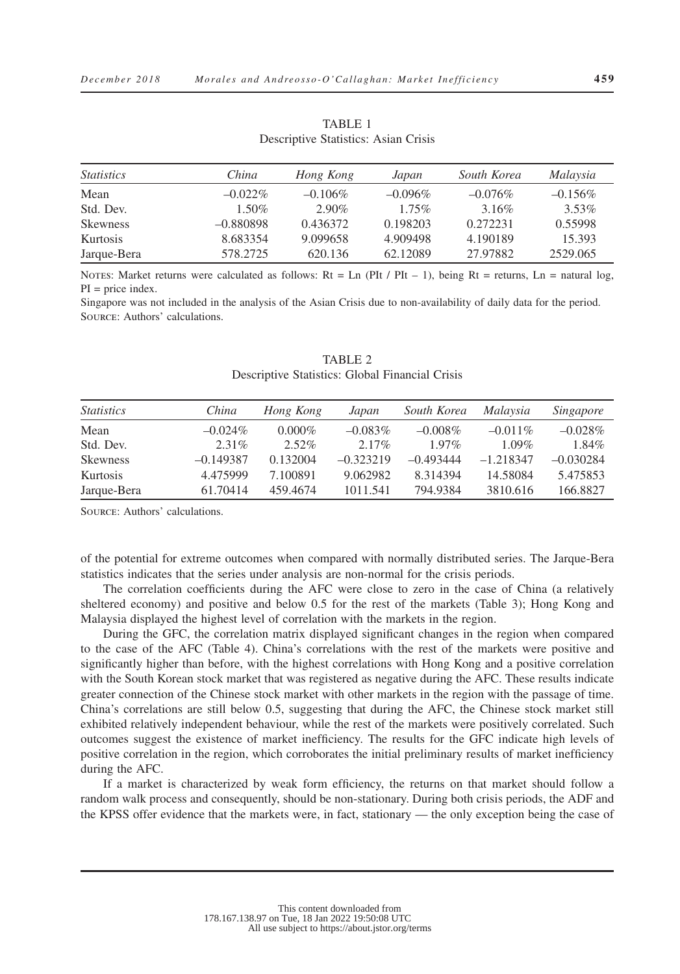| <i>Statistics</i> | China       | Hong Kong  | Japan      | South Korea | Malaysia   |
|-------------------|-------------|------------|------------|-------------|------------|
| Mean              | $-0.022\%$  | $-0.106\%$ | $-0.096\%$ | $-0.076\%$  | $-0.156\%$ |
| Std. Dev.         | $1.50\%$    | $2.90\%$   | $1.75\%$   | 3.16%       | $3.53\%$   |
| <b>Skewness</b>   | $-0.880898$ | 0.436372   | 0.198203   | 0.272231    | 0.55998    |
| Kurtosis          | 8.683354    | 9.099658   | 4.909498   | 4.190189    | 15.393     |
| Jarque-Bera       | 578.2725    | 620.136    | 62.12089   | 27.97882    | 2529.065   |

TABLE 1 Descriptive Statistics: Asian Crisis

NOTES: Market returns were calculated as follows:  $Rt = Ln (PIt / PIt - 1)$ , being  $Rt = returns, Ln = natural log$ ,  $PI = price$  index.

Singapore was not included in the analysis of the Asian Crisis due to non-availability of daily data for the period. Source: Authors' calculations.

| <i>Statistics</i> | China       | Hong Kong | Japan       | South Korea | <i>Malaysia</i> | Singapore   |
|-------------------|-------------|-----------|-------------|-------------|-----------------|-------------|
| Mean              | $-0.024\%$  | $0.000\%$ | $-0.083\%$  | $-0.008\%$  | $-0.011\%$      | $-0.028\%$  |
| Std. Dev.         | $2.31\%$    | $2.52\%$  | $2.17\%$    | $1.97\%$    | $1.09\%$        | 1.84%       |
| <b>Skewness</b>   | $-0.149387$ | 0.132004  | $-0.323219$ | $-0.493444$ | $-1.218347$     | $-0.030284$ |
| Kurtosis          | 4.475999    | 7.100891  | 9.062982    | 8.314394    | 14.58084        | 5.475853    |
| Jarque-Bera       | 61.70414    | 459.4674  | 1011.541    | 794.9384    | 3810.616        | 166.8827    |

TABLE 2 Descriptive Statistics: Global Financial Crisis

Source: Authors' calculations.

of the potential for extreme outcomes when compared with normally distributed series. The Jarque-Bera statistics indicates that the series under analysis are non-normal for the crisis periods.

The correlation coefficients during the AFC were close to zero in the case of China (a relatively sheltered economy) and positive and below 0.5 for the rest of the markets (Table 3); Hong Kong and Malaysia displayed the highest level of correlation with the markets in the region.

During the GFC, the correlation matrix displayed significant changes in the region when compared to the case of the AFC (Table 4). China's correlations with the rest of the markets were positive and significantly higher than before, with the highest correlations with Hong Kong and a positive correlation with the South Korean stock market that was registered as negative during the AFC. These results indicate greater connection of the Chinese stock market with other markets in the region with the passage of time. China's correlations are still below 0.5, suggesting that during the AFC, the Chinese stock market still exhibited relatively independent behaviour, while the rest of the markets were positively correlated. Such outcomes suggest the existence of market inefficiency. The results for the GFC indicate high levels of positive correlation in the region, which corroborates the initial preliminary results of market inefficiency during the AFC.

If a market is characterized by weak form efficiency, the returns on that market should follow a random walk process and consequently, should be non-stationary. During both crisis periods, the ADF and the KPSS offer evidence that the markets were, in fact, stationary — the only exception being the case of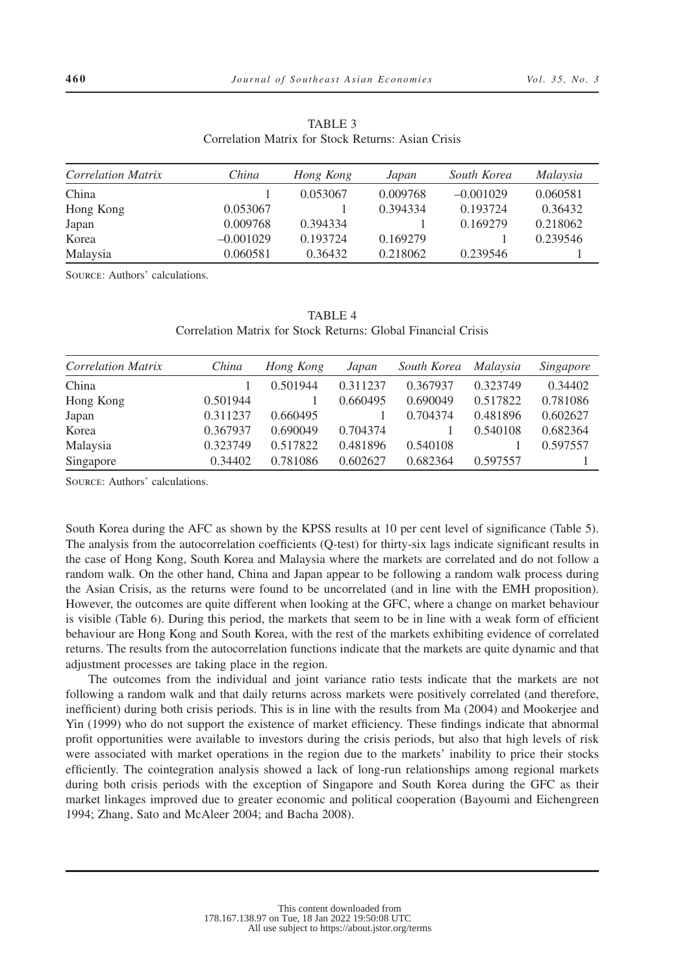| Correlation Matrix | China       | Hong Kong | Japan    | South Korea | Malaysia |
|--------------------|-------------|-----------|----------|-------------|----------|
| China              |             | 0.053067  | 0.009768 | $-0.001029$ | 0.060581 |
| Hong Kong          | 0.053067    |           | 0.394334 | 0.193724    | 0.36432  |
| Japan              | 0.009768    | 0.394334  |          | 0.169279    | 0.218062 |
| Korea              | $-0.001029$ | 0.193724  | 0.169279 |             | 0.239546 |
| Malaysia           | 0.060581    | 0.36432   | 0.218062 | 0.239546    |          |

TABLE 3 Correlation Matrix for Stock Returns: Asian Crisis

Source: Authors' calculations.

TABLE 4 Correlation Matrix for Stock Returns: Global Financial Crisis

| <b>Correlation Matrix</b> | China    | Hong Kong | Japan    | South Korea | Malaysia | <i>Singapore</i> |
|---------------------------|----------|-----------|----------|-------------|----------|------------------|
| China                     |          | 0.501944  | 0.311237 | 0.367937    | 0.323749 | 0.34402          |
| Hong Kong                 | 0.501944 |           | 0.660495 | 0.690049    | 0.517822 | 0.781086         |
| Japan                     | 0.311237 | 0.660495  |          | 0.704374    | 0.481896 | 0.602627         |
| Korea                     | 0.367937 | 0.690049  | 0.704374 |             | 0.540108 | 0.682364         |
| Malaysia                  | 0.323749 | 0.517822  | 0.481896 | 0.540108    |          | 0.597557         |
| Singapore                 | 0.34402  | 0.781086  | 0.602627 | 0.682364    | 0.597557 |                  |

Source: Authors' calculations.

South Korea during the AFC as shown by the KPSS results at 10 per cent level of significance (Table 5). The analysis from the autocorrelation coefficients (Q-test) for thirty-six lags indicate significant results in the case of Hong Kong, South Korea and Malaysia where the markets are correlated and do not follow a random walk. On the other hand, China and Japan appear to be following a random walk process during the Asian Crisis, as the returns were found to be uncorrelated (and in line with the EMH proposition). However, the outcomes are quite different when looking at the GFC, where a change on market behaviour is visible (Table 6). During this period, the markets that seem to be in line with a weak form of efficient behaviour are Hong Kong and South Korea, with the rest of the markets exhibiting evidence of correlated returns. The results from the autocorrelation functions indicate that the markets are quite dynamic and that adjustment processes are taking place in the region.

The outcomes from the individual and joint variance ratio tests indicate that the markets are not following a random walk and that daily returns across markets were positively correlated (and therefore, inefficient) during both crisis periods. This is in line with the results from Ma (2004) and Mookerjee and Yin (1999) who do not support the existence of market efficiency. These findings indicate that abnormal profit opportunities were available to investors during the crisis periods, but also that high levels of risk were associated with market operations in the region due to the markets' inability to price their stocks efficiently. The cointegration analysis showed a lack of long-run relationships among regional markets during both crisis periods with the exception of Singapore and South Korea during the GFC as their market linkages improved due to greater economic and political cooperation (Bayoumi and Eichengreen 1994; Zhang, Sato and McAleer 2004; and Bacha 2008).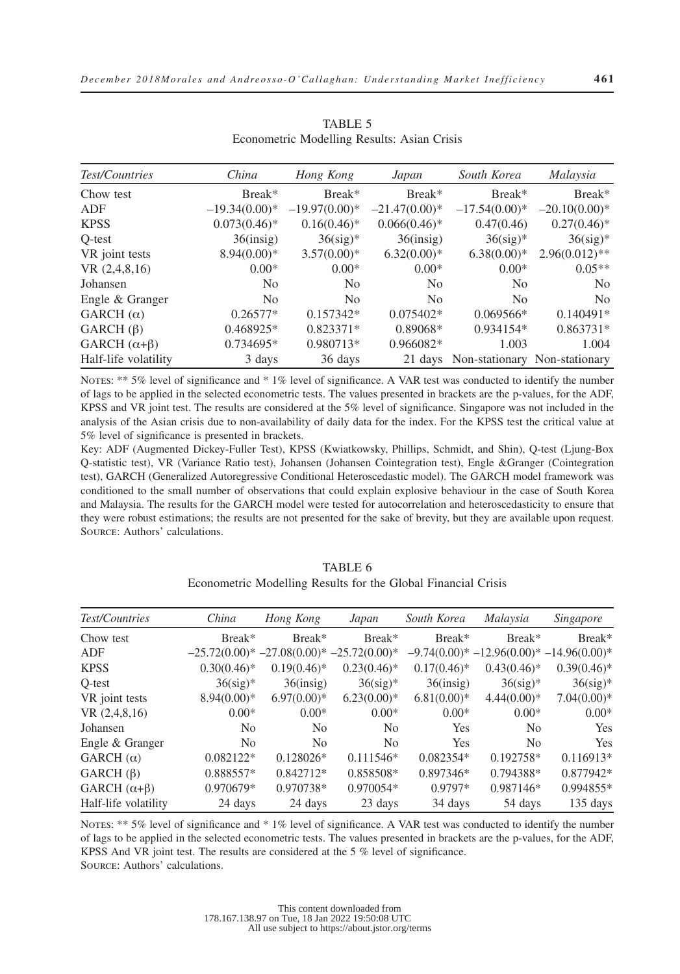| Test/Countries         | China           | Hong Kong       | Japan              | South Korea                           | Malaysia         |
|------------------------|-----------------|-----------------|--------------------|---------------------------------------|------------------|
| Chow test              | Break*          | Break*          | Break <sup>*</sup> | Break*                                | Break*           |
| ADF                    | $-19.34(0.00)*$ | $-19.97(0.00)*$ | $-21.47(0.00)*$    | $-17.54(0.00)*$                       | $-20.10(0.00)*$  |
| <b>KPSS</b>            | $0.073(0.46)^*$ | $0.16(0.46)$ *  | $0.066(0.46)$ *    | 0.47(0.46)                            | $0.27(0.46)^*$   |
| Q-test                 | $36$ (insig)    | $36$ (sig)*     | $36$ (insig)       | $36$ (sig)*                           | $36$ (sig)*      |
| VR joint tests         | $8.94(0.00)*$   | $3.57(0.00)*$   | $6.32(0.00)*$      | $6.38(0.00)*$                         | $2.96(0.012)$ ** |
| VR(2,4,8,16)           | $0.00*$         | $0.00*$         | $0.00*$            | $0.00*$                               | $0.05**$         |
| Johansen               | N <sub>0</sub>  | N <sub>0</sub>  | N <sub>0</sub>     | N <sub>0</sub>                        | N <sub>0</sub>   |
| Engle & Granger        | N <sub>0</sub>  | N <sub>0</sub>  | N <sub>0</sub>     | N <sub>0</sub>                        | N <sub>0</sub>   |
| GARCH $(\alpha)$       | $0.26577*$      | $0.157342*$     | $0.075402*$        | $0.069566*$                           | $0.140491*$      |
| GARCH $(\beta)$        | $0.468925*$     | $0.823371*$     | $0.89068*$         | $0.934154*$                           | $0.863731*$      |
| GARCH $(\alpha+\beta)$ | $0.734695*$     | 0.980713*       | $0.966082*$        | 1.003                                 | 1.004            |
| Half-life volatility   | 3 days          | 36 days         |                    | 21 days Non-stationary Non-stationary |                  |

TABLE 5 Econometric Modelling Results: Asian Crisis

NOTES: \*\* 5% level of significance and \* 1% level of significance. A VAR test was conducted to identify the number of lags to be applied in the selected econometric tests. The values presented in brackets are the p-values, for the ADF, KPSS and VR joint test. The results are considered at the 5% level of significance. Singapore was not included in the analysis of the Asian crisis due to non-availability of daily data for the index. For the KPSS test the critical value at 5% level of significance is presented in brackets.

Key: ADF (Augmented Dickey-Fuller Test), KPSS (Kwiatkowsky, Phillips, Schmidt, and Shin), Q-test (Ljung-Box Q-statistic test), VR (Variance Ratio test), Johansen (Johansen Cointegration test), Engle &Granger (Cointegration test), GARCH (Generalized Autoregressive Conditional Heteroscedastic model). The GARCH model framework was conditioned to the small number of observations that could explain explosive behaviour in the case of South Korea and Malaysia. The results for the GARCH model were tested for autocorrelation and heteroscedasticity to ensure that they were robust estimations; the results are not presented for the sake of brevity, but they are available upon request. Source: Authors' calculations.

| Test/Countries         | China                                     | Hong Kong      | Japan          | South Korea    | Malaysia                                 | Singapore      |
|------------------------|-------------------------------------------|----------------|----------------|----------------|------------------------------------------|----------------|
| Chow test              | Break*                                    | Break*         | Break*         | Break*         | Break*                                   | Break*         |
| ADF                    | $-25.72(0.00)*-27.08(0.00)*-25.72(0.00)*$ |                |                |                | $-9.74(0.00)*-12.96(0.00)*-14.96(0.00)*$ |                |
| <b>KPSS</b>            | $0.30(0.46)$ *                            | $0.19(0.46)^*$ | $0.23(0.46)^*$ | $0.17(0.46)^*$ | $0.43(0.46)^*$                           | $0.39(0.46)$ * |
| O-test                 | $36$ (sig)*                               | $36$ (insig)   | $36$ (sig)*    | $36$ (insig)   | $36$ (sig)*                              | $36$ (sig)*    |
| VR joint tests         | $8.94(0.00)*$                             | $6.97(0.00)*$  | $6.23(0.00)*$  | $6.81(0.00)*$  | $4.44(0.00)*$                            | $7.04(0.00)*$  |
| VR $(2,4,8,16)$        | $0.00*$                                   | $0.00*$        | $0.00*$        | $0.00*$        | $0.00*$                                  | $0.00*$        |
| Johansen               | N <sub>0</sub>                            | N <sub>0</sub> | N <sub>0</sub> | <b>Yes</b>     | N <sub>0</sub>                           | Yes            |
| Engle & Granger        | N <sub>0</sub>                            | N <sub>0</sub> | N <sub>0</sub> | Yes            | N <sub>0</sub>                           | Yes            |
| GARCH $(\alpha)$       | $0.082122*$                               | $0.128026*$    | $0.111546*$    | $0.082354*$    | $0.192758*$                              | $0.116913*$    |
| GARCH $(\beta)$        | 0.888557*                                 | $0.842712*$    | 0.858508*      | $0.897346*$    | 0.794388*                                | 0.877942*      |
| GARCH $(\alpha+\beta)$ | 0.970679*                                 | 0.970738*      | $0.970054*$    | $0.9797*$      | $0.987146*$                              | 0.994855*      |
| Half-life volatility   | 24 days                                   | 24 days        | 23 days        | 34 days        | 54 days                                  | 135 days       |

TABLE 6 Econometric Modelling Results for the Global Financial Crisis

NOTES: \*\* 5% level of significance and \* 1% level of significance. A VAR test was conducted to identify the number of lags to be applied in the selected econometric tests. The values presented in brackets are the p-values, for the ADF, KPSS And VR joint test. The results are considered at the 5 % level of significance. Source: Authors' calculations.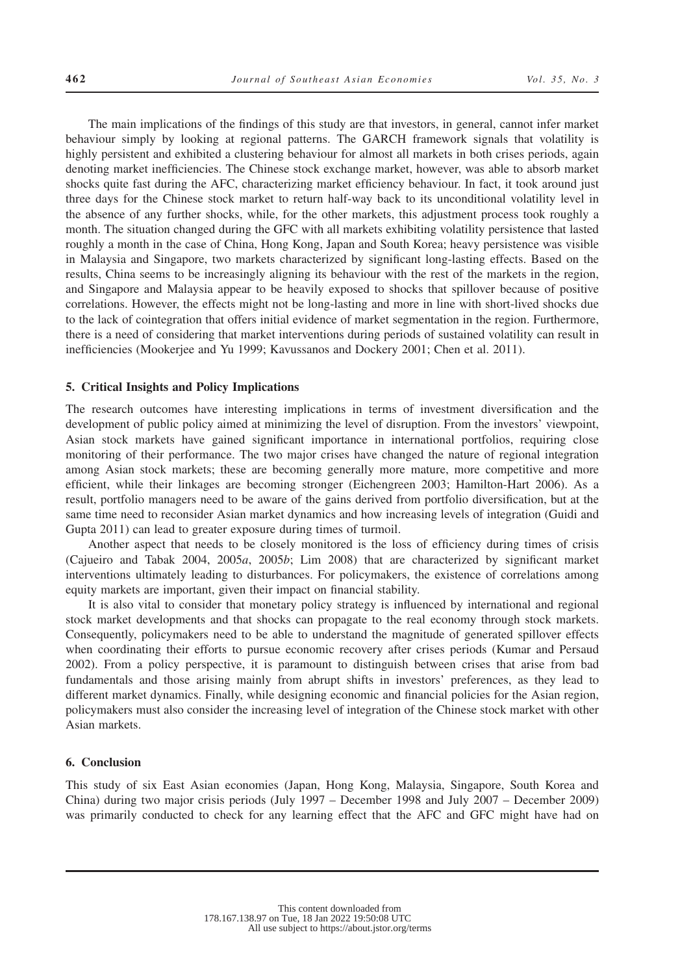The main implications of the findings of this study are that investors, in general, cannot infer market behaviour simply by looking at regional patterns. The GARCH framework signals that volatility is highly persistent and exhibited a clustering behaviour for almost all markets in both crises periods, again denoting market inefficiencies. The Chinese stock exchange market, however, was able to absorb market shocks quite fast during the AFC, characterizing market efficiency behaviour. In fact, it took around just three days for the Chinese stock market to return half-way back to its unconditional volatility level in the absence of any further shocks, while, for the other markets, this adjustment process took roughly a month. The situation changed during the GFC with all markets exhibiting volatility persistence that lasted roughly a month in the case of China, Hong Kong, Japan and South Korea; heavy persistence was visible in Malaysia and Singapore, two markets characterized by significant long-lasting effects. Based on the results, China seems to be increasingly aligning its behaviour with the rest of the markets in the region, and Singapore and Malaysia appear to be heavily exposed to shocks that spillover because of positive correlations. However, the effects might not be long-lasting and more in line with short-lived shocks due to the lack of cointegration that offers initial evidence of market segmentation in the region. Furthermore, there is a need of considering that market interventions during periods of sustained volatility can result in inefficiencies (Mookerjee and Yu 1999; Kavussanos and Dockery 2001; Chen et al. 2011).

#### **5. Critical Insights and Policy Implications**

The research outcomes have interesting implications in terms of investment diversification and the development of public policy aimed at minimizing the level of disruption. From the investors' viewpoint, Asian stock markets have gained significant importance in international portfolios, requiring close monitoring of their performance. The two major crises have changed the nature of regional integration among Asian stock markets; these are becoming generally more mature, more competitive and more efficient, while their linkages are becoming stronger (Eichengreen 2003; Hamilton-Hart 2006). As a result, portfolio managers need to be aware of the gains derived from portfolio diversification, but at the same time need to reconsider Asian market dynamics and how increasing levels of integration (Guidi and Gupta 2011) can lead to greater exposure during times of turmoil.

Another aspect that needs to be closely monitored is the loss of efficiency during times of crisis (Cajueiro and Tabak 2004, 2005*a*, 2005*b*; Lim 2008) that are characterized by significant market interventions ultimately leading to disturbances. For policymakers, the existence of correlations among equity markets are important, given their impact on financial stability.

It is also vital to consider that monetary policy strategy is influenced by international and regional stock market developments and that shocks can propagate to the real economy through stock markets. Consequently, policymakers need to be able to understand the magnitude of generated spillover effects when coordinating their efforts to pursue economic recovery after crises periods (Kumar and Persaud 2002). From a policy perspective, it is paramount to distinguish between crises that arise from bad fundamentals and those arising mainly from abrupt shifts in investors' preferences, as they lead to different market dynamics. Finally, while designing economic and financial policies for the Asian region, policymakers must also consider the increasing level of integration of the Chinese stock market with other Asian markets.

#### **6. Conclusion**

This study of six East Asian economies (Japan, Hong Kong, Malaysia, Singapore, South Korea and China) during two major crisis periods (July 1997 – December 1998 and July 2007 – December 2009) was primarily conducted to check for any learning effect that the AFC and GFC might have had on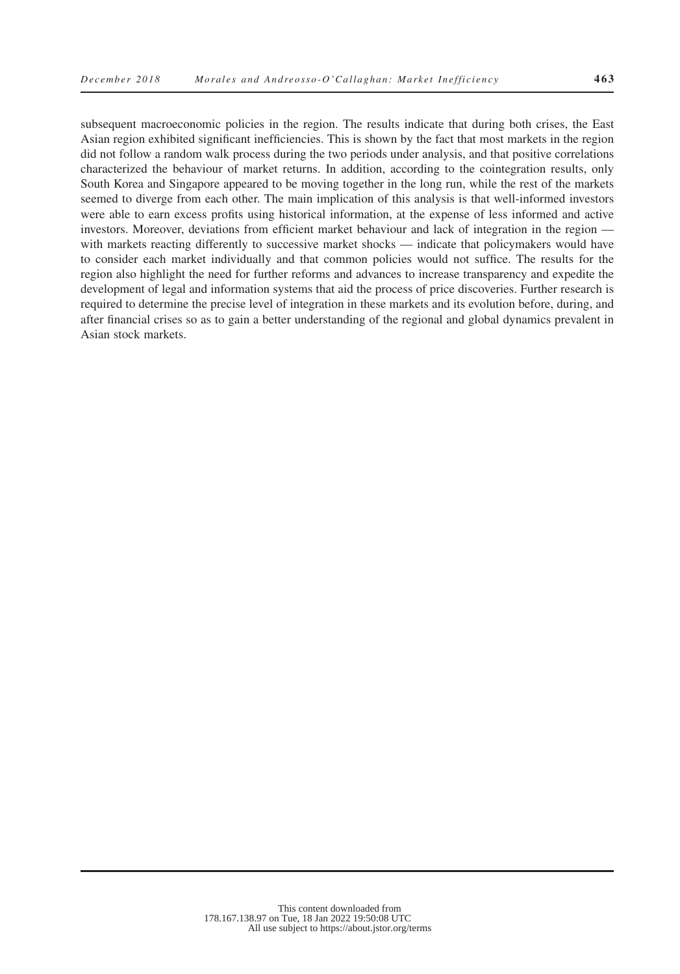subsequent macroeconomic policies in the region. The results indicate that during both crises, the East Asian region exhibited significant inefficiencies. This is shown by the fact that most markets in the region did not follow a random walk process during the two periods under analysis, and that positive correlations characterized the behaviour of market returns. In addition, according to the cointegration results, only South Korea and Singapore appeared to be moving together in the long run, while the rest of the markets seemed to diverge from each other. The main implication of this analysis is that well-informed investors were able to earn excess profits using historical information, at the expense of less informed and active investors. Moreover, deviations from efficient market behaviour and lack of integration in the region with markets reacting differently to successive market shocks — indicate that policymakers would have to consider each market individually and that common policies would not suffice. The results for the region also highlight the need for further reforms and advances to increase transparency and expedite the development of legal and information systems that aid the process of price discoveries. Further research is required to determine the precise level of integration in these markets and its evolution before, during, and after financial crises so as to gain a better understanding of the regional and global dynamics prevalent in Asian stock markets.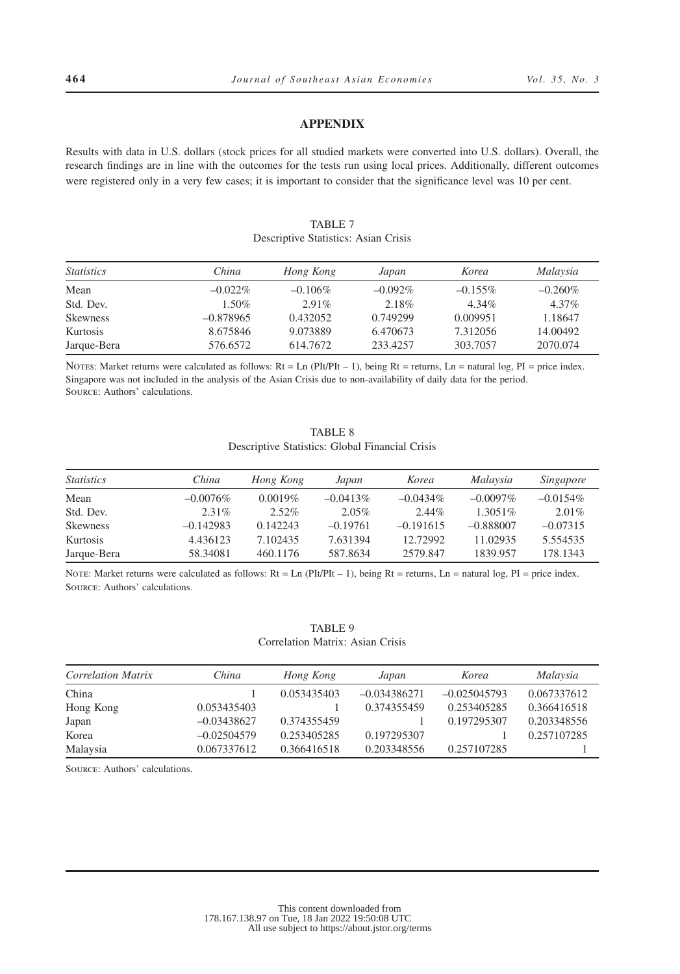# **APPENDIX**

Results with data in U.S. dollars (stock prices for all studied markets were converted into U.S. dollars). Overall, the research findings are in line with the outcomes for the tests run using local prices. Additionally, different outcomes were registered only in a very few cases; it is important to consider that the significance level was 10 per cent.

# TABLE 7

Descriptive Statistics: Asian Crisis

| <i>Statistics</i> | China       | Hong Kong  | Japan      | Korea      | Malaysia   |
|-------------------|-------------|------------|------------|------------|------------|
| Mean              | $-0.022\%$  | $-0.106\%$ | $-0.092\%$ | $-0.155\%$ | $-0.260\%$ |
| Std. Dev.         | $1.50\%$    | $2.91\%$   | 2.18%      | $4.34\%$   | $4.37\%$   |
| <b>Skewness</b>   | $-0.878965$ | 0.432052   | 0.749299   | 0.009951   | 1.18647    |
| Kurtosis          | 8.675846    | 9.073889   | 6.470673   | 7.312056   | 14.00492   |
| Jarque-Bera       | 576.6572    | 614.7672   | 233.4257   | 303.7057   | 2070.074   |

NOTES: Market returns were calculated as follows:  $Rt = Ln (P I t/P I t - 1)$ , being  $Rt =$  returns,  $Ln =$  natural log,  $PI =$  price index. Singapore was not included in the analysis of the Asian Crisis due to non-availability of daily data for the period. Source: Authors' calculations.

# TABLE 8 Descriptive Statistics: Global Financial Crisis

| <i>Statistics</i> | China       | Hong Kong  | Japan       | Korea       | Malaysia    | <i>Singapore</i> |
|-------------------|-------------|------------|-------------|-------------|-------------|------------------|
| Mean              | $-0.0076\%$ | $0.0019\%$ | $-0.0413\%$ | $-0.0434\%$ | $-0.0097\%$ | $-0.0154\%$      |
| Std. Dev.         | $2.31\%$    | $2.52\%$   | 2.05%       | $2.44\%$    | $1.3051\%$  | $2.01\%$         |
| <b>Skewness</b>   | $-0.142983$ | 0.142243   | $-0.19761$  | $-0.191615$ | $-0.888007$ | $-0.07315$       |
| Kurtosis          | 4.436123    | 7.102435   | 7.631394    | 12.72992    | 11.02935    | 5.554535         |
| Jarque-Bera       | 58.34081    | 460.1176   | 587.8634    | 2579.847    | 1839.957    | 178.1343         |

NOTE: Market returns were calculated as follows:  $Rt = Ln (PIt/PIt - 1)$ , being  $Rt = returns$ ,  $Ln = natural log$ ,  $PI = price index$ . Source: Authors' calculations.

|                                  | TABLE 9 |  |
|----------------------------------|---------|--|
| Correlation Matrix: Asian Crisis |         |  |

| Correlation Matrix | China         | Hong Kong   | Japan          | Korea          | Malaysia    |
|--------------------|---------------|-------------|----------------|----------------|-------------|
| China              |               | 0.053435403 | $-0.034386271$ | $-0.025045793$ | 0.067337612 |
| Hong Kong          | 0.053435403   |             | 0.374355459    | 0.253405285    | 0.366416518 |
| Japan              | $-0.03438627$ | 0.374355459 |                | 0.197295307    | 0.203348556 |
| Korea              | $-0.02504579$ | 0.253405285 | 0.197295307    |                | 0.257107285 |
| Malaysia           | 0.067337612   | 0.366416518 | 0.203348556    | 0.257107285    |             |

Source: Authors' calculations.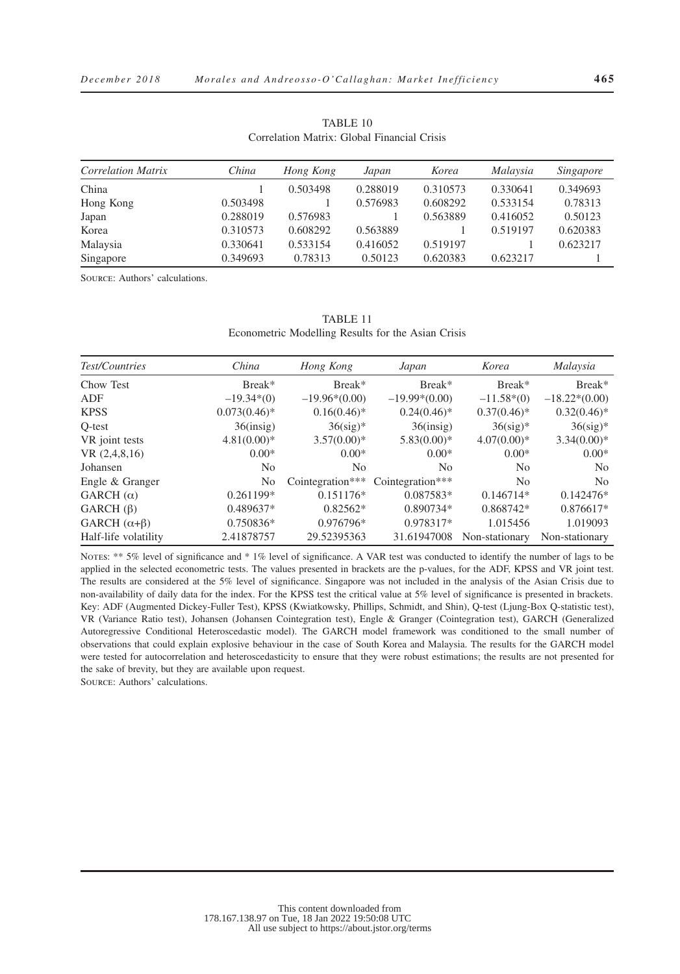TABLE 10 Correlation Matrix: Global Financial Crisis

| <b>Correlation Matrix</b> | China    | Hong Kong | Japan    | Korea    | Malaysia | Singapore |
|---------------------------|----------|-----------|----------|----------|----------|-----------|
| China                     |          | 0.503498  | 0.288019 | 0.310573 | 0.330641 | 0.349693  |
| Hong Kong                 | 0.503498 |           | 0.576983 | 0.608292 | 0.533154 | 0.78313   |
| Japan                     | 0.288019 | 0.576983  |          | 0.563889 | 0.416052 | 0.50123   |
| Korea                     | 0.310573 | 0.608292  | 0.563889 |          | 0.519197 | 0.620383  |
| Malaysia                  | 0.330641 | 0.533154  | 0.416052 | 0.519197 |          | 0.623217  |
| Singapore                 | 0.349693 | 0.78313   | 0.50123  | 0.620383 | 0.623217 |           |

Source: Authors' calculations.

| TABLE 11                                           |  |
|----------------------------------------------------|--|
| Econometric Modelling Results for the Asian Crisis |  |

| Test/Countries         | China          | Hong Kong        | Japan            | Korea          | Malaysia        |
|------------------------|----------------|------------------|------------------|----------------|-----------------|
| Chow Test              | Break*         | Break*           | Break*           | Break*         | Break*          |
| ADF                    | $-19.34*(0)$   | $-19.96*(0.00)$  | $-19.99*(0.00)$  | $-11.58*(0)$   | $-18.22*(0.00)$ |
| <b>KPSS</b>            | $0.073(0.46)*$ | $0.16(0.46)^*$   | $0.24(0.46)$ *   | $0.37(0.46)$ * | $0.32(0.46)^*$  |
| O-test                 | $36$ (insig)   | $36$ (sig)*      | $36$ (insig)     | $36$ (sig)*    | $36$ (sig)*     |
| VR joint tests         | $4.81(0.00)*$  | $3.57(0.00)*$    | $5.83(0.00)*$    | $4.07(0.00)*$  | $3.34(0.00)*$   |
| VR(2,4,8,16)           | $0.00*$        | $0.00*$          | $0.00*$          | $0.00*$        | $0.00*$         |
| Johansen               | N <sub>0</sub> | No.              | N <sub>0</sub>   | N <sub>0</sub> | N <sub>0</sub>  |
| Engle & Granger        | No             | Cointegration*** | Cointegration*** | No             | N <sub>o</sub>  |
| GARCH $(\alpha)$       | $0.261199*$    | $0.151176*$      | 0.087583*        | $0.146714*$    | $0.142476*$     |
| $GARCH(\beta)$         | 0.489637*      | $0.82562*$       | 0.890734*        | 0.868742*      | $0.876617*$     |
| GARCH $(\alpha+\beta)$ | $0.750836*$    | $0.976796*$      | $0.978317*$      | 1.015456       | 1.019093        |
| Half-life volatility   | 2.41878757     | 29.52395363      | 31.61947008      | Non-stationary | Non-stationary  |

NOTES: \*\* 5% level of significance and \* 1% level of significance. A VAR test was conducted to identify the number of lags to be applied in the selected econometric tests. The values presented in brackets are the p-values, for the ADF, KPSS and VR joint test. The results are considered at the 5% level of significance. Singapore was not included in the analysis of the Asian Crisis due to non-availability of daily data for the index. For the KPSS test the critical value at 5% level of significance is presented in brackets. Key: ADF (Augmented Dickey-Fuller Test), KPSS (Kwiatkowsky, Phillips, Schmidt, and Shin), Q-test (Ljung-Box Q-statistic test), VR (Variance Ratio test), Johansen (Johansen Cointegration test), Engle & Granger (Cointegration test), GARCH (Generalized Autoregressive Conditional Heteroscedastic model). The GARCH model framework was conditioned to the small number of observations that could explain explosive behaviour in the case of South Korea and Malaysia. The results for the GARCH model were tested for autocorrelation and heteroscedasticity to ensure that they were robust estimations; the results are not presented for the sake of brevity, but they are available upon request.

Source: Authors' calculations.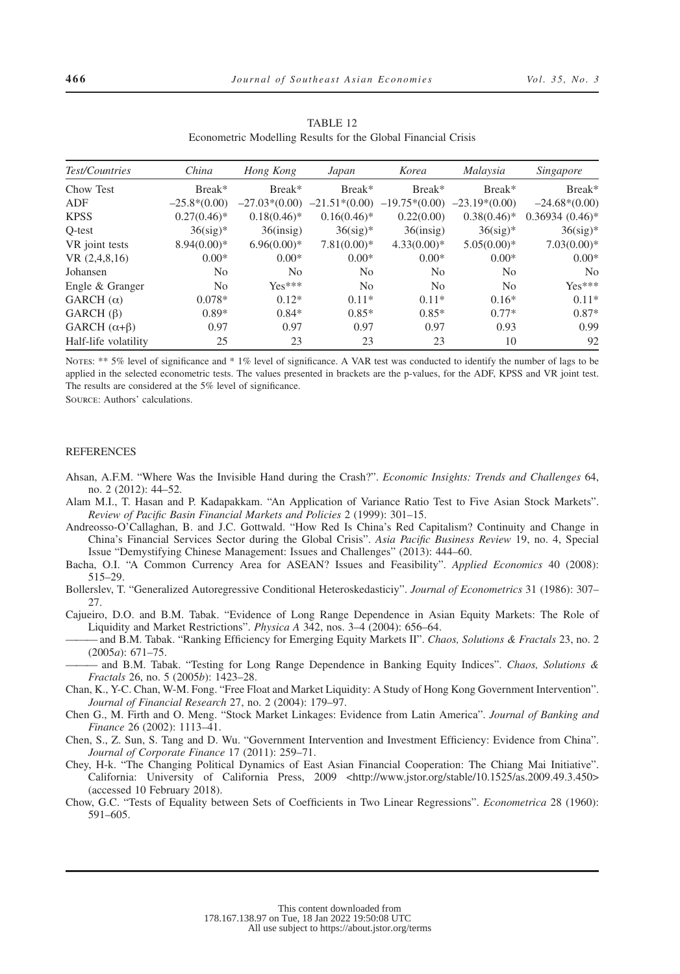| Test/Countries         | China          | Hong Kong       | Japan           | Korea           | Malaysia        | Singapore        |
|------------------------|----------------|-----------------|-----------------|-----------------|-----------------|------------------|
| Chow Test              | Break*         | Break*          | Break*          | Break*          | Break*          | Break*           |
| <b>ADF</b>             | $-25.8*(0.00)$ | $-27.03*(0.00)$ | $-21.51*(0.00)$ | $-19.75*(0.00)$ | $-23.19*(0.00)$ | $-24.68*(0.00)$  |
| <b>KPSS</b>            | $0.27(0.46)^*$ | $0.18(0.46)$ *  | $0.16(0.46)$ *  | 0.22(0.00)      | $0.38(0.46)$ *  | $0.36934(0.46)*$ |
| O-test                 | $36$ (sig)*    | $36$ (insig)    | $36$ (sig)*     | $36$ (insig)    | $36$ (sig)*     | $36$ (sig)*      |
| VR joint tests         | $8.94(0.00)*$  | $6.96(0.00)*$   | $7.81(0.00)*$   | $4.33(0.00)*$   | $5.05(0.00)*$   | $7.03(0.00)*$    |
| VR(2,4,8,16)           | $0.00*$        | $0.00*$         | $0.00*$         | $0.00*$         | $0.00*$         | $0.00*$          |
| Johansen               | No             | No              | N <sub>0</sub>  | No              | No              | N <sub>0</sub>   |
| Engle & Granger        | No             | $Yes***$        | N <sub>0</sub>  | No              | No              | $Yes***$         |
| GARCH $(\alpha)$       | $0.078*$       | $0.12*$         | $0.11*$         | $0.11*$         | $0.16*$         | $0.11*$          |
| GARCH $(\beta)$        | $0.89*$        | $0.84*$         | $0.85*$         | $0.85*$         | $0.77*$         | $0.87*$          |
| GARCH $(\alpha+\beta)$ | 0.97           | 0.97            | 0.97            | 0.97            | 0.93            | 0.99             |
| Half-life volatility   | 25             | 23              | 23              | 23              | 10              | 92               |

TABLE 12 Econometric Modelling Results for the Global Financial Crisis

NOTES: \*\* 5% level of significance and \* 1% level of significance. A VAR test was conducted to identify the number of lags to be applied in the selected econometric tests. The values presented in brackets are the p-values, for the ADF, KPSS and VR joint test. The results are considered at the 5% level of significance.

Source: Authors' calculations.

## REFERENCES

- Ahsan, A.F.M. "Where Was the Invisible Hand during the Crash?". *Economic Insights: Trends and Challenges* 64, no. 2 (2012): 44–52.
- Alam M.I., T. Hasan and P. Kadapakkam. "An Application of Variance Ratio Test to Five Asian Stock Markets". *Review of Pacific Basin Financial Markets and Policies* 2 (1999): 301–15.
- Andreosso-O'Callaghan, B. and J.C. Gottwald. "How Red Is China's Red Capitalism? Continuity and Change in China's Financial Services Sector during the Global Crisis". *Asia Pacific Business Review* 19, no. 4, Special Issue "Demystifying Chinese Management: Issues and Challenges" (2013): 444–60.
- Bacha, O.I. "A Common Currency Area for ASEAN? Issues and Feasibility". *Applied Economics* 40 (2008): 515–29.
- Bollerslev, T. "Generalized Autoregressive Conditional Heteroskedasticiy". *Journal of Econometrics* 31 (1986): 307– 27.
- Cajueiro, D.O. and B.M. Tabak. "Evidence of Long Range Dependence in Asian Equity Markets: The Role of Liquidity and Market Restrictions". *Physica A* 342, nos. 3–4 (2004): 656–64.
- ——— and B.M. Tabak. "Ranking Efficiency for Emerging Equity Markets II". *Chaos, Solutions & Fractals* 23, no. 2 (2005*a*): 671–75.
- ——— and B.M. Tabak. "Testing for Long Range Dependence in Banking Equity Indices". *Chaos, Solutions & Fractals* 26, no. 5 (2005*b*): 1423–28.
- Chan, K., Y-C. Chan, W-M. Fong. "Free Float and Market Liquidity: A Study of Hong Kong Government Intervention". *Journal of Financial Research* 27, no. 2 (2004): 179–97.
- Chen G., M. Firth and O. Meng. "Stock Market Linkages: Evidence from Latin America". *Journal of Banking and Finance* 26 (2002): 1113–41.
- Chen, S., Z. Sun, S. Tang and D. Wu. "Government Intervention and Investment Efficiency: Evidence from China". *Journal of Corporate Finance* 17 (2011): 259–71.
- Chey, H-k. "The Changing Political Dynamics of East Asian Financial Cooperation: The Chiang Mai Initiative". California: University of California Press, 2009 <http://www.jstor.org/stable/10.1525/as.2009.49.3.450> (accessed 10 February 2018).
- Chow, G.C. "Tests of Equality between Sets of Coefficients in Two Linear Regressions". *Econometrica* 28 (1960): 591–605.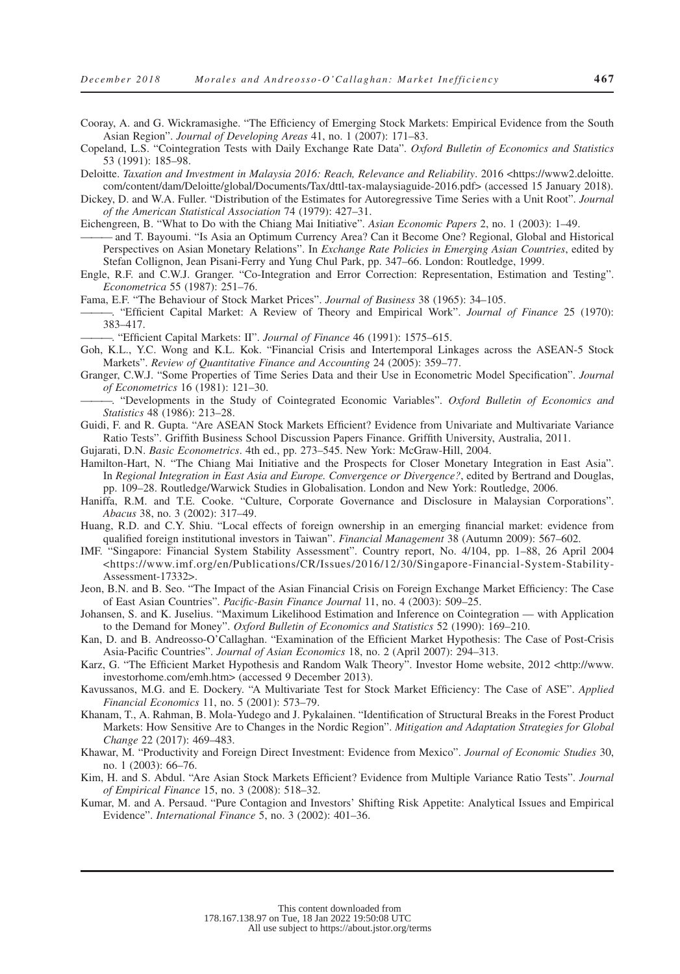- Cooray, A. and G. Wickramasighe. "The Efficiency of Emerging Stock Markets: Empirical Evidence from the South Asian Region". *Journal of Developing Areas* 41, no. 1 (2007): 171–83.
- Copeland, L.S. "Cointegration Tests with Daily Exchange Rate Data". *Oxford Bulletin of Economics and Statistics* 53 (1991): 185–98.
- Deloitte. *Taxation and Investment in Malaysia 2016: Reach, Relevance and Reliability*. 2016 <https://www2.deloitte. com/content/dam/Deloitte/global/Documents/Tax/dttl-tax-malaysiaguide-2016.pdf> (accessed 15 January 2018).
- Dickey, D. and W.A. Fuller. "Distribution of the Estimates for Autoregressive Time Series with a Unit Root". *Journal of the American Statistical Association* 74 (1979): 427–31.
- Eichengreen, B. "What to Do with the Chiang Mai Initiative". *Asian Economic Papers* 2, no. 1 (2003): 1–49.
- ——— and T. Bayoumi. "Is Asia an Optimum Currency Area? Can it Become One? Regional, Global and Historical Perspectives on Asian Monetary Relations". In *Exchange Rate Policies in Emerging Asian Countries*, edited by Stefan Collignon, Jean Pisani-Ferry and Yung Chul Park, pp. 347–66. London: Routledge, 1999.
- Engle, R.F. and C.W.J. Granger. "Co-Integration and Error Correction: Representation, Estimation and Testing". *Econometrica* 55 (1987): 251–76.
- Fama, E.F. "The Behaviour of Stock Market Prices". *Journal of Business* 38 (1965): 34–105.
- ———. "Efficient Capital Market: A Review of Theory and Empirical Work". *Journal of Finance* 25 (1970): 383–417.
	- ———. "Efficient Capital Markets: II". *Journal of Finance* 46 (1991): 1575–615.
- Goh, K.L., Y.C. Wong and K.L. Kok. "Financial Crisis and Intertemporal Linkages across the ASEAN-5 Stock Markets". *Review of Quantitative Finance and Accounting* 24 (2005): 359–77.
- Granger, C.W.J. "Some Properties of Time Series Data and their Use in Econometric Model Specification". *Journal of Econometrics* 16 (1981): 121–30.
- ———. "Developments in the Study of Cointegrated Economic Variables". *Oxford Bulletin of Economics and Statistics* 48 (1986): 213–28.
- Guidi, F. and R. Gupta. "Are ASEAN Stock Markets Efficient? Evidence from Univariate and Multivariate Variance Ratio Tests". Griffith Business School Discussion Papers Finance. Griffith University, Australia, 2011.
- Gujarati, D.N. *Basic Econometrics*. 4th ed., pp. 273–545. New York: McGraw-Hill, 2004.
- Hamilton-Hart, N. "The Chiang Mai Initiative and the Prospects for Closer Monetary Integration in East Asia". In *Regional Integration in East Asia and Europe. Convergence or Divergence?*, edited by Bertrand and Douglas, pp. 109–28. Routledge/Warwick Studies in Globalisation. London and New York: Routledge, 2006.
- Haniffa, R.M. and T.E. Cooke. "Culture, Corporate Governance and Disclosure in Malaysian Corporations". *Abacus* 38, no. 3 (2002): 317–49.
- Huang, R.D. and C.Y. Shiu. "Local effects of foreign ownership in an emerging financial market: evidence from qualified foreign institutional investors in Taiwan". *Financial Management* 38 (Autumn 2009): 567–602.
- IMF. "Singapore: Financial System Stability Assessment". Country report, No. 4/104, pp. 1–88, 26 April 2004 <https://www.imf.org/en/Publications/CR/Issues/2016/12/30/Singapore-Financial-System-Stability-Assessment-17332>.
- Jeon, B.N. and B. Seo. "The Impact of the Asian Financial Crisis on Foreign Exchange Market Efficiency: The Case of East Asian Countries". *Pacific-Basin Finance Journal* 11, no. 4 (2003): 509–25.
- Johansen, S. and K. Juselius. "Maximum Likelihood Estimation and Inference on Cointegration with Application to the Demand for Money". *Oxford Bulletin of Economics and Statistics* 52 (1990): 169–210.
- Kan, D. and B. Andreosso-O'Callaghan. "Examination of the Efficient Market Hypothesis: The Case of Post-Crisis Asia-Pacific Countries". *Journal of Asian Economics* 18, no. 2 (April 2007): 294–313.
- Karz, G. "The Efficient Market Hypothesis and Random Walk Theory". Investor Home website, 2012 <http://www. investorhome.com/emh.htm> (accessed 9 December 2013).
- Kavussanos, M.G. and E. Dockery. "A Multivariate Test for Stock Market Efficiency: The Case of ASE". *Applied Financial Economics* 11, no. 5 (2001): 573–79.
- Khanam, T., A. Rahman, B. Mola-Yudego and J. Pykalainen. "Identification of Structural Breaks in the Forest Product Markets: How Sensitive Are to Changes in the Nordic Region". *Mitigation and Adaptation Strategies for Global Change* 22 (2017): 469–483.
- Khawar, M. "Productivity and Foreign Direct Investment: Evidence from Mexico". *Journal of Economic Studies* 30, no. 1 (2003): 66–76.
- Kim, H. and S. Abdul. "Are Asian Stock Markets Efficient? Evidence from Multiple Variance Ratio Tests". *Journal of Empirical Finance* 15, no. 3 (2008): 518–32.
- Kumar, M. and A. Persaud. "Pure Contagion and Investors' Shifting Risk Appetite: Analytical Issues and Empirical Evidence". *International Finance* 5, no. 3 (2002): 401–36.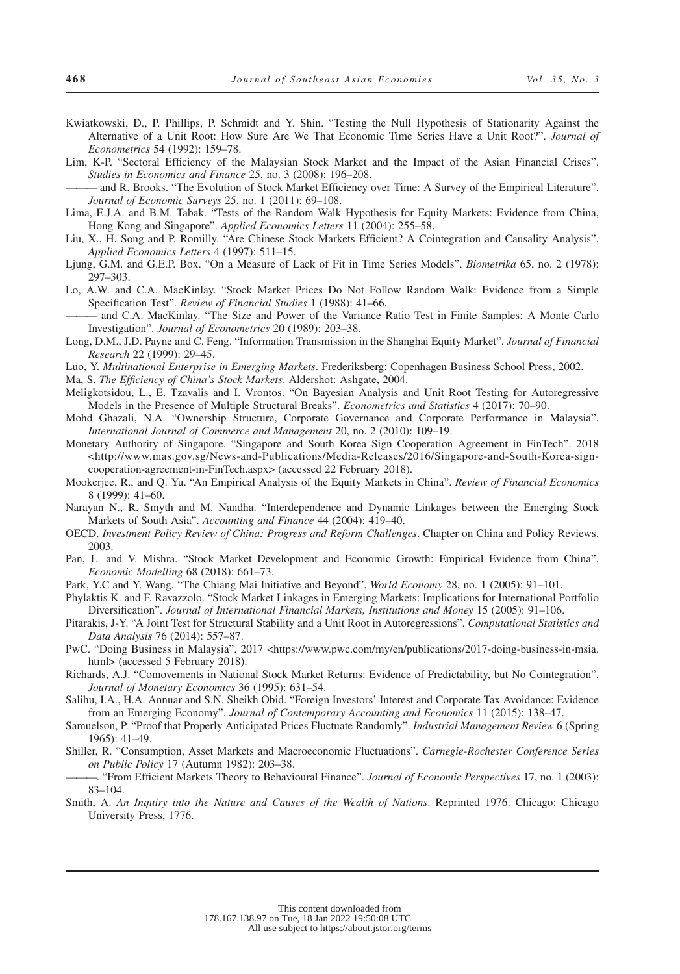- Kwiatkowski, D., P. Phillips, P. Schmidt and Y. Shin. "Testing the Null Hypothesis of Stationarity Against the Alternative of a Unit Root: How Sure Are We That Economic Time Series Have a Unit Root?". *Journal of Econometrics* 54 (1992): 159–78.
- Lim, K-P. "Sectoral Efficiency of the Malaysian Stock Market and the Impact of the Asian Financial Crises". *Studies in Economics and Finance* 25, no. 3 (2008): 196–208.

——— and R. Brooks. "The Evolution of Stock Market Efficiency over Time: A Survey of the Empirical Literature". *Journal of Economic Surveys* 25, no. 1 (2011): 69–108.

- Lima, E.J.A. and B.M. Tabak. "Tests of the Random Walk Hypothesis for Equity Markets: Evidence from China, Hong Kong and Singapore". *Applied Economics Letters* 11 (2004): 255–58.
- Liu, X., H. Song and P. Romilly. "Are Chinese Stock Markets Efficient? A Cointegration and Causality Analysis". *Applied Economics Letters* 4 (1997): 511–15.
- Ljung, G.M. and G.E.P. Box. "On a Measure of Lack of Fit in Time Series Models". *Biometrika* 65, no. 2 (1978): 297–303.
- Lo, A.W. and C.A. MacKinlay. "Stock Market Prices Do Not Follow Random Walk: Evidence from a Simple Specification Test". *Review of Financial Studies* 1 (1988): 41–66.
- ——— and C.A. MacKinlay. "The Size and Power of the Variance Ratio Test in Finite Samples: A Monte Carlo Investigation". *Journal of Econometrics* 20 (1989): 203–38.
- Long, D.M., J.D. Payne and C. Feng. "Information Transmission in the Shanghai Equity Market". *Journal of Financial Research* 22 (1999): 29–45.
- Luo, Y. *Multinational Enterprise in Emerging Markets*. Frederiksberg: Copenhagen Business School Press, 2002.
- Ma, S. *The Efficiency of China's Stock Markets*. Aldershot: Ashgate, 2004.
- Meligkotsidou, L., E. Tzavalis and I. Vrontos. "On Bayesian Analysis and Unit Root Testing for Autoregressive Models in the Presence of Multiple Structural Breaks". *Econometrics and Statistics* 4 (2017): 70–90.
- Mohd Ghazali, N.A. "Ownership Structure, Corporate Governance and Corporate Performance in Malaysia". *International Journal of Commerce and Management* 20, no. 2 (2010): 109–19.
- Monetary Authority of Singapore. "Singapore and South Korea Sign Cooperation Agreement in FinTech". 2018 <http://www.mas.gov.sg/News-and-Publications/Media-Releases/2016/Singapore-and-South-Korea-signcooperation-agreement-in-FinTech.aspx> (accessed 22 February 2018).
- Mookerjee, R., and Q. Yu. "An Empirical Analysis of the Equity Markets in China". *Review of Financial Economics* 8 (1999): 41–60.
- Narayan N., R. Smyth and M. Nandha. "Interdependence and Dynamic Linkages between the Emerging Stock Markets of South Asia". *Accounting and Finance* 44 (2004): 419–40.
- OECD. *Investment Policy Review of China: Progress and Reform Challenges*. Chapter on China and Policy Reviews. 2003.
- Pan, L. and V. Mishra. "Stock Market Development and Economic Growth: Empirical Evidence from China". *Economic Modelling* 68 (2018): 661–73.
- Park, Y.C and Y. Wang. "The Chiang Mai Initiative and Beyond". *World Economy* 28, no. 1 (2005): 91–101.
- Phylaktis K. and F. Ravazzolo. "Stock Market Linkages in Emerging Markets: Implications for International Portfolio Diversification". *Journal of International Financial Markets, Institutions and Money* 15 (2005): 91–106.
- Pitarakis, J-Y. "A Joint Test for Structural Stability and a Unit Root in Autoregressions". *Computational Statistics and Data Analysis* 76 (2014): 557–87.
- PwC. "Doing Business in Malaysia". 2017 <https://www.pwc.com/my/en/publications/2017-doing-business-in-msia. html> (accessed 5 February 2018).
- Richards, A.J. "Comovements in National Stock Market Returns: Evidence of Predictability, but No Cointegration". *Journal of Monetary Economics* 36 (1995): 631–54.
- Salihu, I.A., H.A. Annuar and S.N. Sheikh Obid. "Foreign Investors' Interest and Corporate Tax Avoidance: Evidence from an Emerging Economy". *Journal of Contemporary Accounting and Economics* 11 (2015): 138–47.
- Samuelson, P. "Proof that Properly Anticipated Prices Fluctuate Randomly". *Industrial Management Review* 6 (Spring 1965): 41–49.
- Shiller, R. "Consumption, Asset Markets and Macroeconomic Fluctuations". *Carnegie-Rochester Conference Series on Public Policy* 17 (Autumn 1982): 203–38.
- ———. "From Efficient Markets Theory to Behavioural Finance". *Journal of Economic Perspectives* 17, no. 1 (2003): 83–104.
- Smith, A. *An Inquiry into the Nature and Causes of the Wealth of Nations*. Reprinted 1976. Chicago: Chicago University Press, 1776.